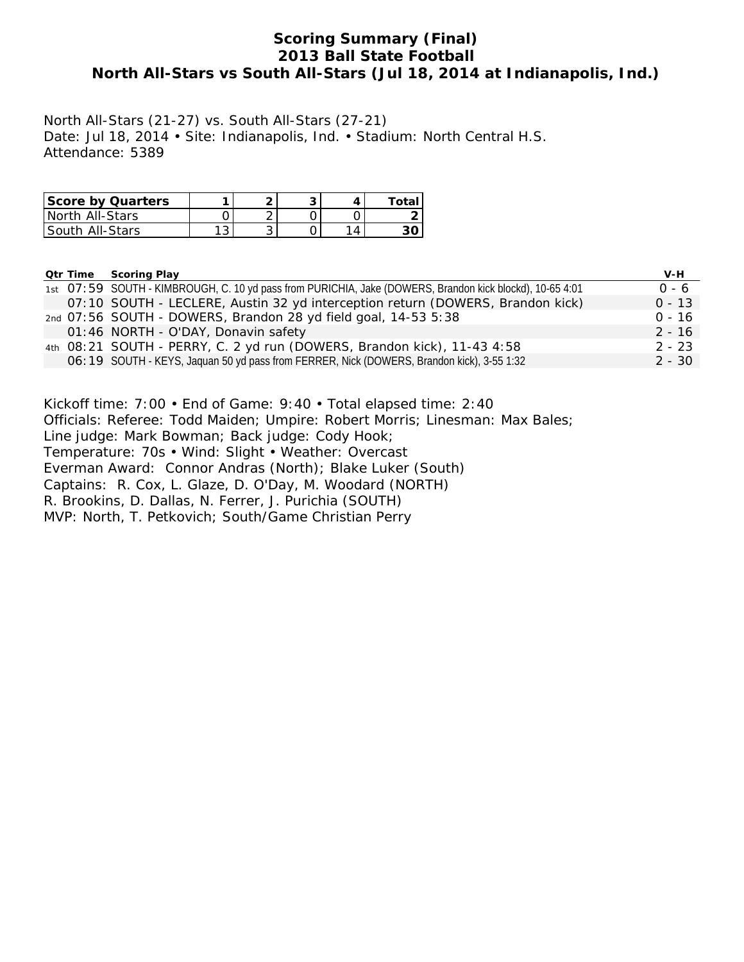# **Scoring Summary (Final) 2013 Ball State Football North All-Stars vs South All-Stars (Jul 18, 2014 at Indianapolis, Ind.)**

North All-Stars (21-27) vs. South All-Stars (27-21) Date: Jul 18, 2014 • Site: Indianapolis, Ind. • Stadium: North Central H.S. Attendance: 5389

| <b>Score by Quarters</b> | 灬 |  | Totai |
|--------------------------|---|--|-------|
| North All-Stars          |   |  |       |
| l South All-Stars        | ັ |  |       |

|  | <b>Qtr Time Scoring Play</b>                                                                             | V-H      |
|--|----------------------------------------------------------------------------------------------------------|----------|
|  | 1st O7:59 SOUTH - KIMBROUGH, C. 10 yd pass from PURICHIA, Jake (DOWERS, Brandon kick blockd), 10-65 4:01 | $0 - 6$  |
|  | 07:10 SOUTH - LECLERE, Austin 32 yd interception return (DOWERS, Brandon kick)                           | $0 - 13$ |
|  | 2nd 07:56 SOUTH - DOWERS, Brandon 28 yd field goal, 14-53 5:38                                           | $0 - 16$ |
|  | 01:46 NORTH - O'DAY, Donavin safety                                                                      | $2 - 16$ |
|  | 4th 08:21 SOUTH - PERRY, C. 2 yd run (DOWERS, Brandon kick), 11-43 4:58                                  | $2 - 23$ |
|  | O6: 19 SOUTH - KEYS, Jaquan 50 yd pass from FERRER, Nick (DOWERS, Brandon kick), 3-55 1:32               | $2 - 30$ |

Kickoff time: 7:00 • End of Game: 9:40 • Total elapsed time: 2:40 Officials: Referee: Todd Maiden; Umpire: Robert Morris; Linesman: Max Bales; Line judge: Mark Bowman; Back judge: Cody Hook; Temperature: 70s • Wind: Slight • Weather: Overcast Everman Award: Connor Andras (North); Blake Luker (South) Captains: R. Cox, L. Glaze, D. O'Day, M. Woodard (NORTH) R. Brookins, D. Dallas, N. Ferrer, J. Purichia (SOUTH) MVP: North, T. Petkovich; South/Game Christian Perry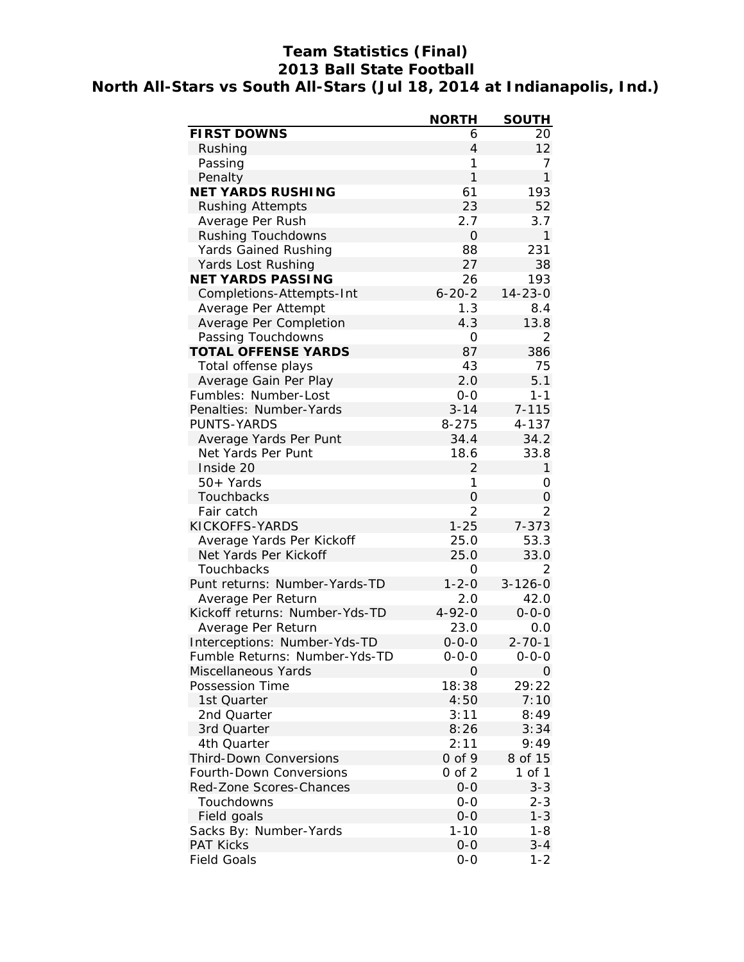# **Team Statistics (Final) 2013 Ball State Football North All-Stars vs South All-Stars (Jul 18, 2014 at Indianapolis, Ind.)**

|                                            | <b>NORTH</b>   | <b>SOUTH</b>   |
|--------------------------------------------|----------------|----------------|
| <b>FIRST DOWNS</b>                         | 6              | 20             |
| Rushing                                    | $\overline{4}$ | 12             |
| Passing                                    | 1              | 7              |
| Penalty                                    | $\mathbf{1}$   | $\mathbf{1}$   |
| <b>NET YARDS RUSHING</b>                   | 61             | 193            |
| <b>Rushing Attempts</b>                    | 23             | 52             |
| Average Per Rush                           | 2.7            | 3.7            |
| <b>Rushing Touchdowns</b>                  | $\mathbf 0$    | 1              |
| <b>Yards Gained Rushing</b>                | 88             | 231            |
| Yards Lost Rushing                         | 27             | 38             |
| <b>NET YARDS PASSING</b>                   | 26             | 193            |
| Completions-Attempts-Int                   | $6 - 20 - 2$   | $14 - 23 - 0$  |
| Average Per Attempt                        | 1.3            | 8.4            |
| Average Per Completion                     | 4.3            | 13.8           |
| Passing Touchdowns                         | 0              | 2              |
| <b>TOTAL OFFENSE YARDS</b>                 | 87             | 386            |
| Total offense plays                        | 43             | 75             |
| Average Gain Per Play                      | 2.0            | 5.1            |
| Fumbles: Number-Lost                       | $0-0$          | $1 - 1$        |
| Penalties: Number-Yards                    | $3 - 14$       | $7 - 115$      |
| PUNTS-YARDS                                | $8 - 275$      | 4-137          |
| Average Yards Per Punt                     | 34.4           | 34.2           |
| Net Yards Per Punt                         | 18.6           | 33.8           |
| Inside 20                                  | 2              | $\mathbf{1}$   |
| 50+ Yards                                  | 1              | 0              |
| <b>Touchbacks</b>                          | $\overline{O}$ | 0              |
| Fair catch                                 | $\overline{2}$ | $\overline{2}$ |
| KICKOFFS-YARDS                             | $1 - 25$       | $7 - 373$      |
| Average Yards Per Kickoff                  | 25.0           | 53.3           |
| Net Yards Per Kickoff                      | 25.0           | 33.0           |
| Touchbacks                                 | 0              | 2              |
| Punt returns: Number-Yards-TD              | $1 - 2 - 0$    | $3 - 126 - 0$  |
| Average Per Return                         | 2.0            | 42.0           |
| Kickoff returns: Number-Yds-TD             | $4 - 92 - 0$   | $0 - 0 - 0$    |
| Average Per Return                         | 23.0           | 0.0            |
| Interceptions: Number-Yds-TD               | $0 - 0 - 0$    | $2 - 70 - 1$   |
| Fumble Returns: Number-Yds-TD              | 0-0-0          | $0 - 0 - 0$    |
| Miscellaneous Yards                        | 0              | 0              |
| Possession Time                            | 18:38          | 29:22          |
| 1st Quarter                                | 4:50           | 7:10           |
| 2nd Quarter                                | 3:11           | 8:49           |
| 3rd Quarter                                | 8:26           | 3:34           |
| 4th Quarter                                | 2:11           | 9:49           |
| <b>Third-Down Conversions</b>              | $0$ of 9       | 8 of 15        |
| Fourth-Down Conversions                    | $0$ of $2$     | 1 of 1         |
| Red-Zone Scores-Chances                    | $0 - 0$        | $3 - 3$        |
| Touchdowns                                 | $0 - 0$        | $2 - 3$        |
|                                            | $O-O$          | $1 - 3$        |
| Field goals                                |                |                |
| Sacks By: Number-Yards<br><b>PAT Kicks</b> | 1-10           | 1-8<br>$3 - 4$ |
|                                            | $O-O$          |                |
| <b>Field Goals</b>                         | $0-0$          | $1 - 2$        |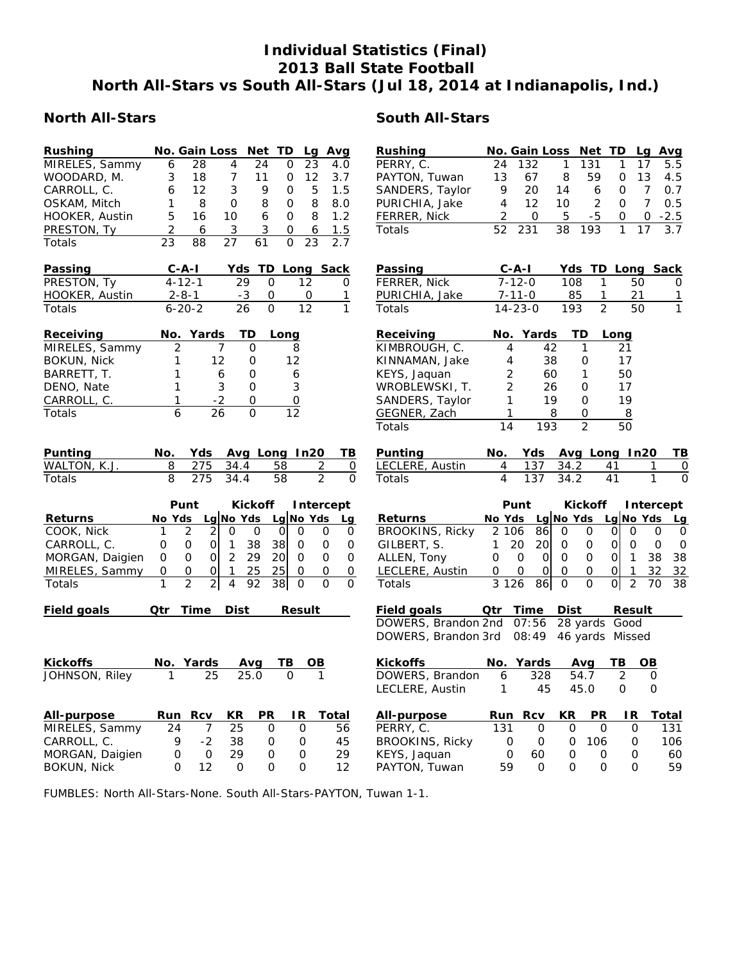# **Individual Statistics (Final) 2013 Ball State Football North All-Stars vs South All-Stars (Jul 18, 2014 at Indianapolis, Ind.)**

| <b>Rushing</b>     |                | No. Gain Loss Net TD             |              |                |                   |                | Lg Avg                   | Rushing                |                | No. Gain Loss             |             | Net TD          |              | Lg                |
|--------------------|----------------|----------------------------------|--------------|----------------|-------------------|----------------|--------------------------|------------------------|----------------|---------------------------|-------------|-----------------|--------------|-------------------|
| MIRELES, Sammy     | 6              | 28                               | 4            | 24             | 0                 | 23             | 4.0                      | PERRY, C.              | 24             | 132                       | 1           | 131             | 1            | 17                |
| WOODARD, M.        | 3              | 18                               | 7            | 11             | 0                 | 12             | 3.7                      | PAYTON, Tuwan          | 13             | 67                        | 8           | 59              | 0            | 13                |
| CARROLL, C.        | 6              | $12 \overline{ }$                | 3            | 9              | 0                 | 5              | 1.5                      | SANDERS, Taylor        | 9              | 20                        | 14          | 6               | 0            | $\overline{7}$    |
| OSKAM, Mitch       | 1              | 8                                | 0            | 8              | 0                 | 8              | 8.0                      | PURICHIA, Jake         | $\overline{4}$ | 12                        | 10          | $\overline{2}$  | $\mathbf{O}$ | $\overline{7}$    |
| HOOKER, Austin     | 5              | 16                               | 10           | 6              | 0                 | 8              | 1.2                      | FERRER, Nick           | 2              | 0                         | 5           | $-5$            | 0            | 0                 |
| PRESTON, Ty        | $\overline{2}$ | 6                                | 3            | 3              | 0                 | 6              | 1.5                      | Totals                 | 52             | 231                       | 38          | 193             | 1            | 17                |
| Totals             | 23             | 88                               | 27           | 61             | $\mathbf{O}$      | 23             | 2.7                      |                        |                |                           |             |                 |              |                   |
| Passing            |                | $C - A - I$                      |              |                | Yds TD Long Sack  |                |                          | Passing                |                | $C-A-I$                   |             | Yds TD Long     |              |                   |
| PRESTON, Ty        |                | $4 - 12 - 1$                     | 29           | 0              |                   | 12             | 0                        | FERRER, Nick           |                | $7 - 12 - 0$              | 108         | 1               |              | 50                |
| HOOKER, Austin     |                | $2 - 8 - 1$                      | $-3$         | 0              |                   | 0              | 1                        | PURICHIA, Jake         |                | $7 - 11 - 0$              | 85          | 1               |              | 21                |
| Totals             |                | $6 - 20 - 2$                     | 26           | $\Omega$       |                   | 12             | 1                        | Totals                 |                | $14 - 23 - 0$             | 193         | $\mathfrak{D}$  |              | 50                |
| Receiving          |                | No. Yards                        | TD           |                | Long              |                |                          | Receiving              |                | No. Yards                 |             | TD              | Long         |                   |
| MIRELES, Sammy     | 2              |                                  | 7            | O              | 8                 |                |                          | KIMBROUGH, C.          | 4              | 42                        |             | 1               | 21           |                   |
| BOKUN, Nick        | 1              | 12                               |              | 0              | 12                |                |                          | KINNAMAN, Jake         | 4              | 38                        |             | 0               | 17           |                   |
| BARRETT, T.        | 1              |                                  | 6            | 0              | 6                 |                |                          | KEYS, Jaquan           | 2              | 60                        |             | $\mathbf{1}$    | 50           |                   |
| DENO, Nate         | 1              |                                  | 3            | 0              | 3                 |                |                          | WROBLEWSKI, T.         | $\overline{2}$ | 26                        |             | 0               | 17           |                   |
| CARROLL, C.        | 1              | $-2$                             |              | 0              | 0                 |                |                          | SANDERS, Taylor        | 1              | 19                        |             | 0               | 19           |                   |
| Totals             | 6              | 26                               |              | $\mathbf{O}$   | $\overline{12}$   |                |                          | GEGNER, Zach           | 1              |                           | 8           | 0               | 8            |                   |
|                    |                |                                  |              |                |                   |                |                          | Totals                 | 14             | 193                       |             | $\overline{2}$  | 50           |                   |
| Punting            | No.            | Yds                              |              |                | Avg Long In20     |                | TВ                       | Punting                | No.            | Yds                       |             | Avg Long In2    |              |                   |
| WALTON, K.J.       | 8              | 275                              | 34.4         |                | 58                | 2              | 0                        | LECLERE, Austin        | 4              | 137                       | 34.2        |                 | 41           |                   |
| Totals             | 8              | 275                              | 34.4         |                | 58                | $\overline{2}$ | $\Omega$                 | Totals                 | $\overline{4}$ | 137                       | 34.2        |                 | 41           |                   |
|                    |                |                                  |              |                |                   |                |                          |                        |                |                           |             |                 |              |                   |
|                    |                | Punt                             |              | <b>Kickoff</b> |                   |                | Intercept                |                        |                | Punt                      |             | <b>Kickoff</b>  |              | <b>Inte</b>       |
| <b>Returns</b>     |                | No Yds Lg No Yds Lg No Yds       |              |                |                   |                | Lg                       | <b>Returns</b>         |                | No Yds Lg No Yds Lg No Yo |             |                 |              |                   |
| COOK, Nick         | 1              | 2<br>2                           | 0            | 0              | $\mathbf 0$<br>0  |                | 0<br>0                   | <b>BROOKINS, Ricky</b> | 2 106          | 86                        | 0           | 0               | $\Omega$     | 0                 |
| CARROLL, C.        | 0              | $\mathsf O$<br>$\mathbf{O}$      | $\mathbf{1}$ | 38             | 38<br>$\mathbf 0$ |                | 0<br>0                   | GILBERT, S.            | $\mathbf{1}$   | 20<br>20 <sup>1</sup>     | 0           | 0               | $\Omega$     | 0                 |
| MORGAN, Daigien    | 0              | $\mathbf 0$<br>$\mathbf{O}$      | 2            | 29             | 20<br>$\Omega$    |                | $\Omega$<br>0            | ALLEN, Tony            | 0              | $\mathbf 0$<br>Οl         | $\Omega$    | 0               | $\Omega$     | ă<br>$\mathbf{1}$ |
| MIRELES, Sammy     | 0              | 0<br>0                           | 1            | 25             | 25<br>0           |                | $\mathsf{O}\xspace$<br>0 | LECLERE, Austin        | 0              | 0<br>$\Omega$             | 0           | 0               | 0            | 1                 |
| Totals             | 1              | $\overline{2}$<br>$\overline{2}$ | 4            | 92             | 38<br>$\mathbf 0$ |                | $\Omega$<br>0            | Totals                 | 3 1 2 6        | 86                        | $\mathbf 0$ | $\mathbf{O}$    | 0            | $\overline{2}$    |
|                    |                |                                  |              |                |                   |                |                          |                        |                |                           |             |                 |              |                   |
| Field goals        | Qtr            | Time                             | <b>Dist</b>  |                | Result            |                |                          | Field goals            |                | Qtr Time                  | Dist        |                 |              | <b>Result</b>     |
|                    |                |                                  |              |                |                   |                |                          | DOWERS, Brandon 2nd    |                | 07:56                     |             | 28 yards        | Good         |                   |
|                    |                |                                  |              |                |                   |                |                          | DOWERS, Brandon 3rd    |                | 08:49                     |             | 46 yards Missed |              |                   |
| <b>Kickoffs</b>    |                | No. Yards                        | Avg          |                | ΤВ                | OВ             |                          | <b>Kickoffs</b>        |                | No. Yards                 |             | Avg             | TB.          | ΟI                |
| JOHNSON, Riley     | 1              | 25                               | 25.0         |                | $\Omega$          |                |                          | DOWERS, Brandon        | 6              | 328                       |             | 54.7            | 2            |                   |
|                    |                |                                  |              |                |                   |                |                          | LECLERE, Austin        | 1              | 45                        |             | 45.0            | $\Omega$     |                   |
| All-purpose        |                | <b>Run Rcv</b>                   | KR           | <b>PR</b>      | IR.               |                | <u>Total</u>             | All-purpose            |                | Run Rcv                   | KR          | <b>PR</b>       |              | IR.               |
| MIRELES, Sammy     | 24             | $\overline{7}$                   | 25           | 0              | 0                 |                | 56                       | PERRY, C.              | 131            | 0                         | 0           | $\Omega$        |              | 0                 |
| CARROLL, C.        | 9              | $-2$                             | 38           | 0              | 0                 |                | 45                       | BROOKINS, Ricky        | 0              | 0                         | 0           | 106             |              | 0                 |
| MORGAN, Daigien    | 0              | $\mathbf{O}$                     | 29           | $\Omega$       | $\mathbf{O}$      |                | 29                       | KEYS, Jaquan           | 0              | 60                        | $\Omega$    | $\mathbf 0$     |              | 0                 |
| <b>BOKUN, Nick</b> | $\Omega$       | 12                               | O            | $\Omega$       | $\Omega$          |                | 12                       | PAYTON, Tuwan          | 59             | $\Omega$                  | 0           | $\Omega$        |              | $\Omega$          |

# **North All-Stars South All-Stars**

|          | Rushing                |                | No. Gain Loss |             | Net            | TD                   | Lg Avg         |                |
|----------|------------------------|----------------|---------------|-------------|----------------|----------------------|----------------|----------------|
|          | PERRY, C.              | 24             | 132           | 1           | 131            | 1                    | 17             | 5.5            |
|          | PAYTON, Tuwan          | 13             | 67            | 8           | 59             | 0                    | 13             | 4.5            |
|          | SANDERS, Taylor        | 9              | 20            | 14          | 6              | 0                    | $\overline{7}$ | 0.7            |
|          | PURICHIA, Jake         | 4              | 12            | 10          | $\overline{c}$ | 0                    | 7              | 0.5            |
|          | FERRER, Nick           | $\overline{c}$ | 0             | 5           | -5             | 0                    | 0              | $-2.5$         |
|          | Totals                 | 52             | 231           | 38          | 193            | 1                    | 17             | 3.7            |
|          |                        |                |               |             |                |                      |                |                |
|          | Passing                |                | C-A-I         | Yds         |                | TD Long              | <b>Sack</b>    |                |
|          | FERRER, Nick           |                | $7 - 12 - 0$  | 108         | 1              | 50                   |                | 0              |
|          | PURICHIA, Jake         |                | $7 - 11 - 0$  | 85          | 1              | 21                   |                | $\overline{1}$ |
|          | Totals                 |                | $14 - 23 - 0$ | 193         | $\overline{2}$ | 50                   |                | 1              |
|          | Receiving              | No.            | Yards         |             | TD             | Long                 |                |                |
|          | KIMBROUGH, C.          | 4              |               | 42          | 1              | 21                   |                |                |
|          | KINNAMAN, Jake         | 4              |               | 38          | 0              | 17                   |                |                |
|          | KEYS, Jaquan           | 2              |               | 60          | 1              | 50                   |                |                |
|          | WROBLEWSKI, T.         | $\overline{2}$ |               | 26          | 0              | 17                   |                |                |
|          | SANDERS, Taylor        | 1              |               | 19          | 0              | 19                   |                |                |
|          | GEGNER, Zach           | 1              |               | 8           | 0              | 8                    |                |                |
|          | Totals                 | 14             | 193           |             | $\mathfrak{D}$ | 50                   |                |                |
|          |                        |                |               |             |                |                      |                |                |
| 3<br>コース | <b>Punting</b>         | No.            | Yds           |             | Avg Long In20  |                      |                | ΤВ             |
|          | LECLERE, Austin        | 4              | 137           | 34.2        |                | 41                   | 1              | 0              |
|          | Totals                 | 4              | 137           | 34.2        |                | 41                   | 1              | O              |
|          |                        |                | Punt          |             | <b>Kickoff</b> |                      | Intercept      |                |
|          | <b>Returns</b>         | No Yds         |               | Lg No Yds   |                | Lg No Yds            |                | <b>Lg</b>      |
|          | <b>BROOKINS, Ricky</b> | 2 106          | 86            | 0           | 0              | 0<br>0               | 0              | 0              |
|          | GILBERT, S.            | 1              | 20<br>20l     | 0           | 0              | 01<br>0              | 0              | 0              |
|          | ALLEN, Tony            | 0              | 0<br>0        | 0           | 0              | 1<br>0               | 38             | 38             |
|          | LECLERE, Austin        | 0              | 0<br>0        | 0           | 0              | 1<br>0               | 32             | 32             |
|          | Totals                 | 3 1 2 6        | 86            | 0           | 0              | $\overline{2}$<br> 0 | 70             | 38             |
|          | <b>Field goals</b>     | Qtr            | Time          | <b>Dist</b> |                | <b>Result</b>        |                |                |
|          | DOWERS, Brandon 2nd    |                | 07:56         |             | 28 yards Good  |                      |                |                |
|          | DOWERS, Brandon 3rd    |                | 08:49         |             | 46 yards       | Missed               |                |                |
|          | <b>Kickoffs</b>        |                | No. Yards     |             | Avg            | ΤВ                   | OВ             |                |
|          | DOWERS, Brandon        | 6              | 328           |             | 54.7           | $\overline{2}$       | 0              |                |
|          | LECLERE, Austin        | 1              | 45            |             | 45.0           | 0                    | U              |                |
|          | <b>All-purpose</b>     | Run            | Rcv           | KR          | <b>PR</b>      | IR.                  | Total          |                |
|          | PERRY, C.              | 131            | 0             | 0           | 0              | 0                    |                | 131            |
|          | <b>BROOKINS, Ricky</b> | 0              | 0             | 0           | 106            | 0                    |                | 106            |
|          | KEYS, Jaquan           | 0              | 60            | 0           | 0              | 0                    |                | 60             |
|          | PAYTON, Tuwan          | 59             | 0             | 0           | 0              | 0                    |                | 59             |
|          |                        |                |               |             |                |                      |                |                |

FUMBLES: North All-Stars-None. South All-Stars-PAYTON, Tuwan 1-1.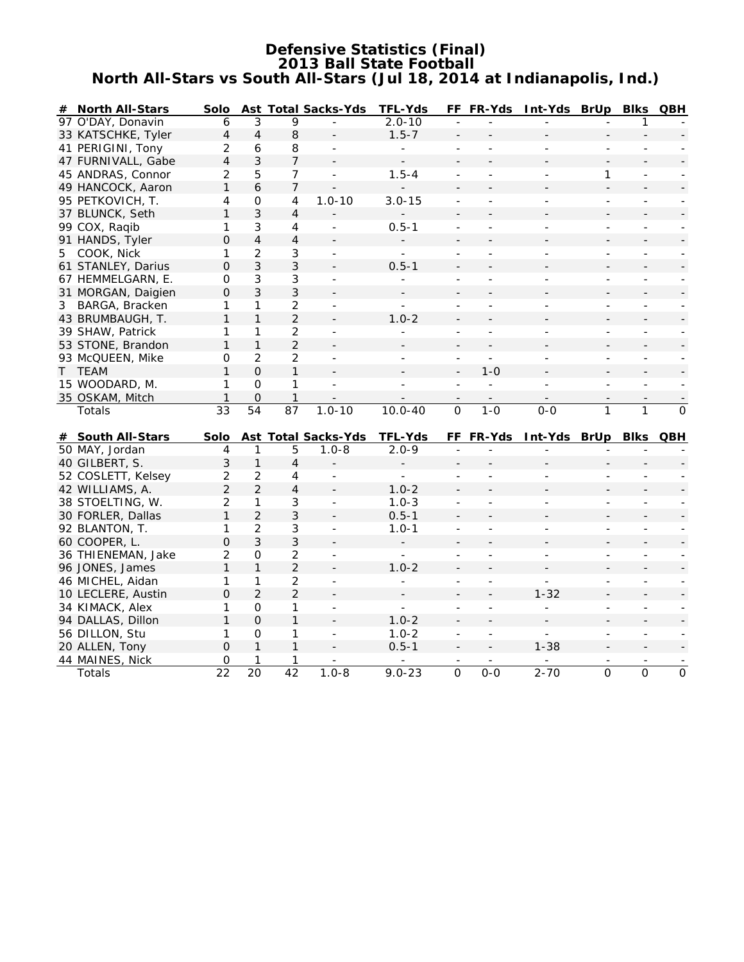# **Defensive Statistics (Final) 2013 Ball State Football North All-Stars vs South All-Stars (Jul 18, 2014 at Indianapolis, Ind.)**

|   | # North All-Stars                     | Solo                 |                      |                      | Ast Total Sacks-Yds                     | <b>TFL-Yds</b>              |                              | FF FR-Yds                | Int-Yds BrUp Blks QBH    |                           |                          |                |
|---|---------------------------------------|----------------------|----------------------|----------------------|-----------------------------------------|-----------------------------|------------------------------|--------------------------|--------------------------|---------------------------|--------------------------|----------------|
|   | 97 O'DAY, Donavin                     | 6                    | 3                    | 9                    |                                         | $2.0 - 10$                  |                              |                          |                          |                           | 1                        |                |
|   | 33 KATSCHKE, Tyler                    | $\overline{4}$       | $\overline{4}$       | 8                    |                                         | $1.5 - 7$                   |                              |                          |                          |                           |                          |                |
|   | 41 PERIGINI, Tony                     | 2                    | 6                    | 8                    |                                         |                             | $\overline{\phantom{a}}$     |                          |                          | $\overline{a}$            |                          |                |
|   | 47 FURNIVALL, Gabe                    | $\overline{4}$       | 3                    | 7                    |                                         |                             |                              |                          |                          |                           |                          |                |
|   | 45 ANDRAS, Connor                     | $\overline{2}$       | 5                    | $\overline{7}$       | $\overline{\phantom{a}}$                | $1.5 - 4$                   | $\qquad \qquad \blacksquare$ | $\overline{\phantom{m}}$ | $\overline{\phantom{a}}$ | 1                         | $\overline{\phantom{m}}$ |                |
|   | 49 HANCOCK, Aaron                     | 1                    | 6                    | $\overline{7}$       |                                         |                             |                              |                          |                          |                           |                          |                |
|   | 95 PETKOVICH, T.                      | 4                    | 0                    | 4                    | $1.0 - 10$                              | $3.0 - 15$                  |                              |                          |                          |                           |                          |                |
|   | 37 BLUNCK, Seth                       | 1                    | 3                    | 4                    |                                         |                             |                              |                          |                          |                           |                          |                |
|   | 99 COX, Raqib                         | 1                    | 3                    | $\overline{4}$       | $\blacksquare$                          | $0.5 - 1$                   |                              |                          | ÷,                       | $\blacksquare$            |                          |                |
|   | 91 HANDS, Tyler                       | $\Omega$             | $\overline{4}$       | $\overline{4}$       |                                         |                             |                              |                          |                          |                           |                          |                |
| 5 | COOK, Nick                            | 1                    | $\overline{2}$       | 3                    | $\blacksquare$                          | ÷.                          | $\overline{\phantom{a}}$     | $\overline{a}$           | $\overline{a}$           | $\blacksquare$            | $\blacksquare$           | $\blacksquare$ |
|   | 61 STANLEY, Darius                    | 0                    | $\mathfrak{Z}$       | 3                    |                                         | $0.5 - 1$                   |                              |                          |                          |                           |                          |                |
|   | 67 HEMMELGARN, E.                     | 0                    | 3                    | 3                    |                                         |                             | $\overline{\phantom{a}}$     |                          |                          | $\overline{a}$            | $\overline{\phantom{0}}$ |                |
|   | 31 MORGAN, Daigien                    | $\mathbf 0$          | $\mathfrak{Z}$       | 3                    |                                         |                             |                              |                          |                          |                           |                          |                |
| 3 | BARGA, Bracken                        | 1                    | 1                    | $\overline{2}$       | $\overline{\phantom{a}}$                | $\overline{a}$              | L,                           |                          | Ξ                        | $\overline{\phantom{0}}$  | $\blacksquare$           |                |
|   | 43 BRUMBAUGH, T.                      | 1                    | $\mathbf{1}$         | $\overline{2}$       |                                         | $1.0 - 2$                   |                              |                          |                          |                           |                          |                |
|   | 39 SHAW, Patrick                      | 1                    | 1                    | $\overline{2}$       |                                         |                             |                              |                          |                          |                           |                          |                |
|   | 53 STONE, Brandon                     | 1                    | $\mathbf{1}$         | $\overline{2}$       |                                         |                             |                              |                          |                          |                           |                          |                |
|   | 93 McQUEEN, Mike                      | 0                    | $\overline{2}$       | $\overline{a}$       | $\overline{a}$                          |                             |                              |                          |                          | $\overline{\phantom{a}}$  | $\overline{\phantom{a}}$ |                |
|   | T TEAM                                | $\mathbf{1}$         | $\overline{O}$       | $\mathbf{1}$         | $\blacksquare$                          |                             | $\overline{a}$               | $1 - 0$                  |                          |                           |                          |                |
|   | 15 WOODARD, M.                        | 1                    | $\mathbf 0$          | 1                    | $\blacksquare$                          | ÷,                          | $\overline{a}$               | $\overline{\phantom{a}}$ | $\overline{a}$           | $\blacksquare$            | $\overline{a}$           |                |
|   | 35 OSKAM, Mitch                       | $\mathbf{1}$         | $\mathbf 0$          | 1                    |                                         |                             |                              |                          |                          |                           |                          |                |
|   | Totals                                | 33                   | 54                   | 87                   | $1.0 - 10$                              | $10.0 - 40$                 | $\overline{O}$               | $1 - 0$                  | $0 - 0$                  | $\mathbf{1}$              | 1                        | $\overline{O}$ |
|   |                                       |                      |                      |                      |                                         |                             |                              |                          |                          |                           |                          |                |
|   | # South All-Stars                     | Solo<br>4            |                      |                      | <b>Ast Total Sacks-Yds</b><br>$1.0 - 8$ | <b>TFL-Yds</b><br>$2.0 - 9$ |                              | FF FR-Yds                | Int-Yds BrUp Blks QBH    |                           |                          |                |
|   | 50 MAY, Jordan<br>40 GILBERT, S.      | 3                    | 1<br>$\mathbf{1}$    | 5<br>4               |                                         |                             |                              |                          |                          |                           |                          |                |
|   |                                       |                      |                      |                      |                                         |                             |                              |                          |                          |                           |                          |                |
|   | 52 COSLETT, Kelsey<br>42 WILLIAMS, A. | 2                    |                      |                      |                                         |                             |                              |                          |                          |                           |                          |                |
|   |                                       |                      | $\overline{2}$       | 4                    |                                         |                             |                              |                          |                          | L,                        |                          |                |
|   |                                       | $\overline{2}$       | $\overline{2}$       | $\overline{4}$       |                                         | $1.0 - 2$                   |                              |                          |                          |                           |                          |                |
|   | 38 STOELTING, W.                      | $\overline{c}$       | 1                    | 3                    | $\blacksquare$                          | $1.0 - 3$                   |                              |                          |                          |                           |                          |                |
|   | 30 FORLER, Dallas                     | 1                    | $\overline{2}$       | 3                    |                                         | $0.5 - 1$                   |                              |                          |                          |                           |                          |                |
|   | 92 BLANTON, T.                        | 1                    | 2                    | 3                    | $\blacksquare$                          | $1.0 - 1$                   | $\blacksquare$               |                          | Ξ                        | $\overline{\phantom{0}}$  | $\blacksquare$           |                |
|   | 60 COOPER, L.                         | $\mathbf 0$          | $\overline{3}$       | 3                    |                                         |                             |                              |                          |                          |                           |                          |                |
|   | 36 THIENEMAN, Jake                    | $\overline{c}$       | 0                    | $\overline{2}$       | $\blacksquare$                          | $\equiv$                    | $\overline{\phantom{a}}$     | $\blacksquare$           | $\overline{\phantom{a}}$ | $\overline{\phantom{a}}$  | $\overline{\phantom{a}}$ |                |
|   | 96 JONES, James                       | 1                    | $\mathbf{1}$         | $\overline{2}$       |                                         | $1.0 - 2$                   |                              |                          |                          |                           |                          |                |
|   | 46 MICHEL, Aidan                      | 1                    | 1                    | $\overline{2}$       |                                         |                             | $\overline{\phantom{a}}$     |                          |                          |                           |                          |                |
|   | 10 LECLERE, Austin                    | $\Omega$             | $\overline{2}$       | $\overline{2}$       |                                         |                             |                              |                          | $1 - 32$                 |                           |                          |                |
|   | 34 KIMACK, Alex                       | 1                    | 0                    | 1                    | $\blacksquare$                          | $\overline{a}$              | $\overline{\phantom{a}}$     | $\blacksquare$           | ÷,                       | $\overline{\phantom{a}}$  | $\overline{\phantom{a}}$ |                |
|   | 94 DALLAS, Dillon                     | $\mathbf{1}$         | $\mathbf 0$          | $\mathbf{1}$         |                                         | $1.0 - 2$                   |                              |                          |                          |                           |                          |                |
|   | 56 DILLON, Stu                        | 1                    | $\mathbf 0$          | 1                    | $\blacksquare$                          | $1.0 - 2$                   | $\qquad \qquad \Box$         | $\sim$                   | $\overline{a}$           | $\overline{a}$            |                          |                |
|   | 20 ALLEN, Tony                        | $\Omega$             | $\mathbf{1}$         | 1                    |                                         | $0.5 - 1$                   |                              |                          | $1 - 38$                 |                           |                          |                |
|   | 44 MAINES, Nick<br>Totals             | 0<br>$\overline{22}$ | 1<br>$\overline{20}$ | 1<br>$\overline{42}$ | $1.0 - 8$                               | $9.0 - 23$                  | $\overline{0}$               | $0 - 0$                  | $2 - 70$                 | $\overline{\overline{o}}$ | $\overline{0}$           | $\overline{0}$ |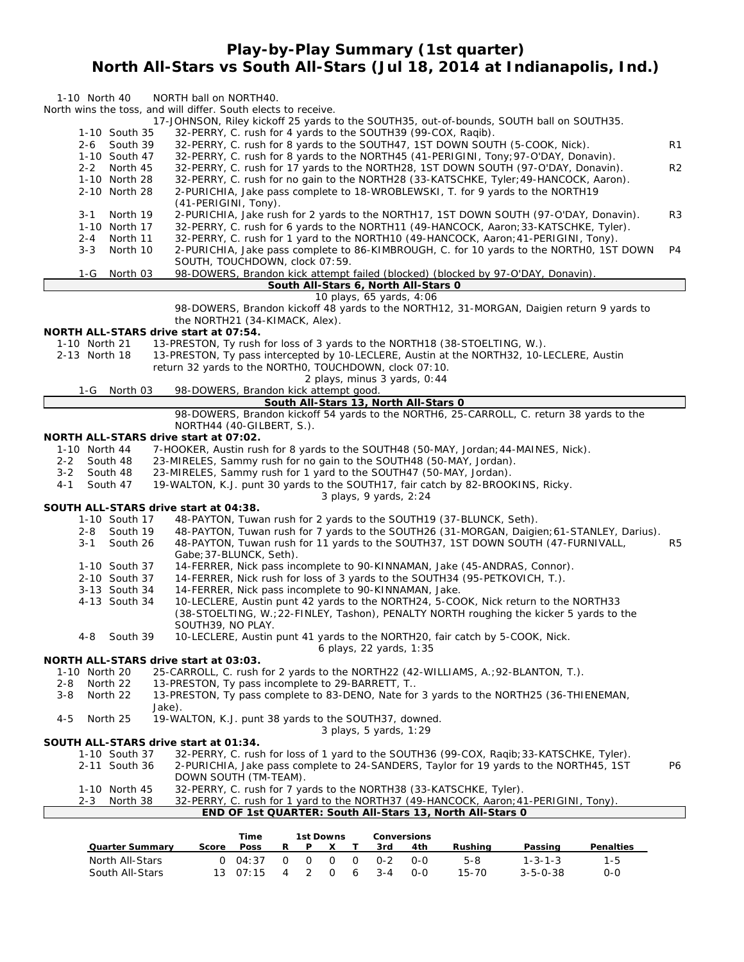# **Play-by-Play Summary (1st quarter) North All-Stars vs South All-Stars (Jul 18, 2014 at Indianapolis, Ind.)**

| 1-10 North 40                                          | NORTH ball on NORTH40.                                                                                                                                                         |                |
|--------------------------------------------------------|--------------------------------------------------------------------------------------------------------------------------------------------------------------------------------|----------------|
|                                                        | North wins the toss, and will differ. South elects to receive.<br>17-JOHNSON, Riley kickoff 25 yards to the SOUTH35, out-of-bounds, SOUTH ball on SOUTH35.                     |                |
| 1-10 South 35                                          | 32-PERRY, C. rush for 4 yards to the SOUTH39 (99-COX, Raqib).                                                                                                                  |                |
| 2-6 South 39<br>1-10 South 47                          | 32-PERRY, C. rush for 8 yards to the SOUTH47, 1ST DOWN SOUTH (5-COOK, Nick).<br>32-PERRY, C. rush for 8 yards to the NORTH45 (41-PERIGINI, Tony; 97-O'DAY, Donavin).           | R <sub>1</sub> |
| 2-2 North 45                                           | 32-PERRY, C. rush for 17 yards to the NORTH28, 1ST DOWN SOUTH (97-O'DAY, Donavin).                                                                                             | R <sub>2</sub> |
| 1-10 North 28<br>2-10 North 28                         | 32-PERRY, C. rush for no gain to the NORTH28 (33-KATSCHKE, Tyler; 49-HANCOCK, Aaron).<br>2-PURICHIA, Jake pass complete to 18-WROBLEWSKI, T. for 9 yards to the NORTH19        |                |
|                                                        | (41-PERIGINI, Tony).                                                                                                                                                           |                |
| North 19<br>3-1<br>1-10 North 17                       | 2-PURICHIA, Jake rush for 2 yards to the NORTH17, 1ST DOWN SOUTH (97-O'DAY, Donavin).<br>32-PERRY, C. rush for 6 yards to the NORTH11 (49-HANCOCK, Aaron; 33-KATSCHKE, Tyler). | R <sub>3</sub> |
| North 11<br>2-4                                        | 32-PERRY, C. rush for 1 yard to the NORTH10 (49-HANCOCK, Aaron; 41-PERIGINI, Tony).                                                                                            |                |
| $3 - 3$<br>North 10                                    | 2-PURICHIA, Jake pass complete to 86-KIMBROUGH, C. for 10 yards to the NORTH0, 1ST DOWN                                                                                        | P <sub>4</sub> |
| $1-G$<br>North 03                                      | SOUTH, TOUCHDOWN, clock 07:59.<br>98-DOWERS, Brandon kick attempt failed (blocked) (blocked by 97-O'DAY, Donavin).                                                             |                |
|                                                        | South All-Stars 6, North All-Stars 0                                                                                                                                           |                |
|                                                        | 10 plays, 65 yards, 4:06<br>98-DOWERS, Brandon kickoff 48 yards to the NORTH12, 31-MORGAN, Daigien return 9 yards to                                                           |                |
|                                                        | the NORTH21 (34-KIMACK, Alex).                                                                                                                                                 |                |
| NORTH ALL-STARS drive start at 07:54.<br>1-10 North 21 | 13-PRESTON, Ty rush for loss of 3 yards to the NORTH18 (38-STOELTING, W.).                                                                                                     |                |
| 2-13 North 18                                          | 13-PRESTON, Ty pass intercepted by 10-LECLERE, Austin at the NORTH32, 10-LECLERE, Austin                                                                                       |                |
|                                                        | return 32 yards to the NORTHO, TOUCHDOWN, clock 07:10.                                                                                                                         |                |
| 1-G North 03                                           | 2 plays, minus 3 yards, 0:44<br>98-DOWERS, Brandon kick attempt good.                                                                                                          |                |
|                                                        | South All-Stars 13, North All-Stars 0                                                                                                                                          |                |
|                                                        | 98-DOWERS, Brandon kickoff 54 yards to the NORTH6, 25-CARROLL, C. return 38 yards to the<br>NORTH44 (40-GILBERT, S.).                                                          |                |
| NORTH ALL-STARS drive start at 07:02.                  |                                                                                                                                                                                |                |
| 1-10 North 44<br>$2 - 2$<br>South 48                   | 7-HOOKER, Austin rush for 8 yards to the SOUTH48 (50-MAY, Jordan; 44-MAINES, Nick).<br>23-MIRELES, Sammy rush for no gain to the SOUTH48 (50-MAY, Jordan).                     |                |
| South 48<br>3-2                                        | 23-MIRELES, Sammy rush for 1 yard to the SOUTH47 (50-MAY, Jordan).                                                                                                             |                |
| 4-1<br>South 47                                        | 19-WALTON, K.J. punt 30 yards to the SOUTH17, fair catch by 82-BROOKINS, Ricky.                                                                                                |                |
| SOUTH ALL-STARS drive start at 04:38.                  | 3 plays, 9 yards, 2:24                                                                                                                                                         |                |
| 1-10 South 17                                          | 48-PAYTON, Tuwan rush for 2 yards to the SOUTH19 (37-BLUNCK, Seth).                                                                                                            |                |
| South 19<br>2-8<br>$3 - 1$                             | 48-PAYTON, Tuwan rush for 7 yards to the SOUTH26 (31-MORGAN, Daigien; 61-STANLEY, Darius).<br>48-PAYTON, Tuwan rush for 11 yards to the SOUTH37, 1ST DOWN SOUTH (47-FURNIVALL, | R <sub>5</sub> |
| South 26                                               | Gabe; 37-BLUNCK, Seth).                                                                                                                                                        |                |
| 1-10 South 37                                          | 14-FERRER, Nick pass incomplete to 90-KINNAMAN, Jake (45-ANDRAS, Connor).                                                                                                      |                |
| 2-10 South 37<br>3-13 South 34                         | 14-FERRER, Nick rush for loss of 3 yards to the SOUTH34 (95-PETKOVICH, T.).<br>14-FERRER, Nick pass incomplete to 90-KINNAMAN, Jake.                                           |                |
| 4-13 South 34                                          | 10-LECLERE, Austin punt 42 yards to the NORTH24, 5-COOK, Nick return to the NORTH33                                                                                            |                |
|                                                        | (38-STOELTING, W.; 22-FINLEY, Tashon), PENALTY NORTH roughing the kicker 5 yards to the<br>SOUTH39, NO PLAY.                                                                   |                |
| South 39<br>4-8                                        | 10-LECLERE, Austin punt 41 yards to the NORTH20, fair catch by 5-COOK, Nick.                                                                                                   |                |
|                                                        | 6 plays, 22 yards, 1:35                                                                                                                                                        |                |
| NORTH ALL-STARS drive start at 03:03.<br>1-10 North 20 | 25-CARROLL, C. rush for 2 yards to the NORTH22 (42-WILLIAMS, A.; 92-BLANTON, T.).                                                                                              |                |
| 2-8<br>North 22                                        | 13-PRESTON, Ty pass incomplete to 29-BARRETT, T                                                                                                                                |                |
| North 22<br>$3 - 8$<br>Jake).                          | 13-PRESTON, Ty pass complete to 83-DENO, Nate for 3 yards to the NORTH25 (36-THIENEMAN,                                                                                        |                |
| North 25<br>4-5                                        | 19-WALTON, K.J. punt 38 yards to the SOUTH37, downed.                                                                                                                          |                |
| SOUTH ALL-STARS drive start at 01:34.                  | 3 plays, 5 yards, 1:29                                                                                                                                                         |                |
| 1-10 South 37                                          | 32-PERRY, C. rush for loss of 1 yard to the SOUTH36 (99-COX, Ragib; 33-KATSCHKE, Tyler).                                                                                       |                |
| 2-11 South 36                                          | 2-PURICHIA, Jake pass complete to 24-SANDERS, Taylor for 19 yards to the NORTH45, 1ST                                                                                          | P6             |
| 1-10 North 45                                          | DOWN SOUTH (TM-TEAM).<br>32-PERRY, C. rush for 7 yards to the NORTH38 (33-KATSCHKE, Tyler).                                                                                    |                |
| North 38<br>2-3                                        | 32-PERRY, C. rush for 1 yard to the NORTH37 (49-HANCOCK, Aaron; 41-PERIGINI, Tony).                                                                                            |                |
|                                                        | END OF 1st QUARTER: South All-Stars 13, North All-Stars 0                                                                                                                      |                |
|                                                        | 1st Downs Conversions<br>Time                                                                                                                                                  |                |

|                        |       | <b>Time</b>      |        |   | <b>1st Downs</b> |          |         | <b>Conversions</b> |           |                  |                  |  |
|------------------------|-------|------------------|--------|---|------------------|----------|---------|--------------------|-----------|------------------|------------------|--|
| <b>Quarter Summary</b> | Score | Poss             | R.     | Þ |                  |          | 3rd     | 4th                | Rushina   | Passing          | <b>Penalties</b> |  |
| North All-Stars        |       | 0.04:37          | $\cap$ |   |                  | $\Omega$ | . በ-2   | <u>ດ-ດ</u>         | 5-8       | $1 - 3 - 1 - 3$  | $1 - 5$          |  |
| South All-Stars        |       | $13 \quad 07:15$ | 4      |   |                  | 6        | $3 - 4$ | $O-O$              | $15 - 70$ | $3 - 5 - 0 - 38$ | 0-0              |  |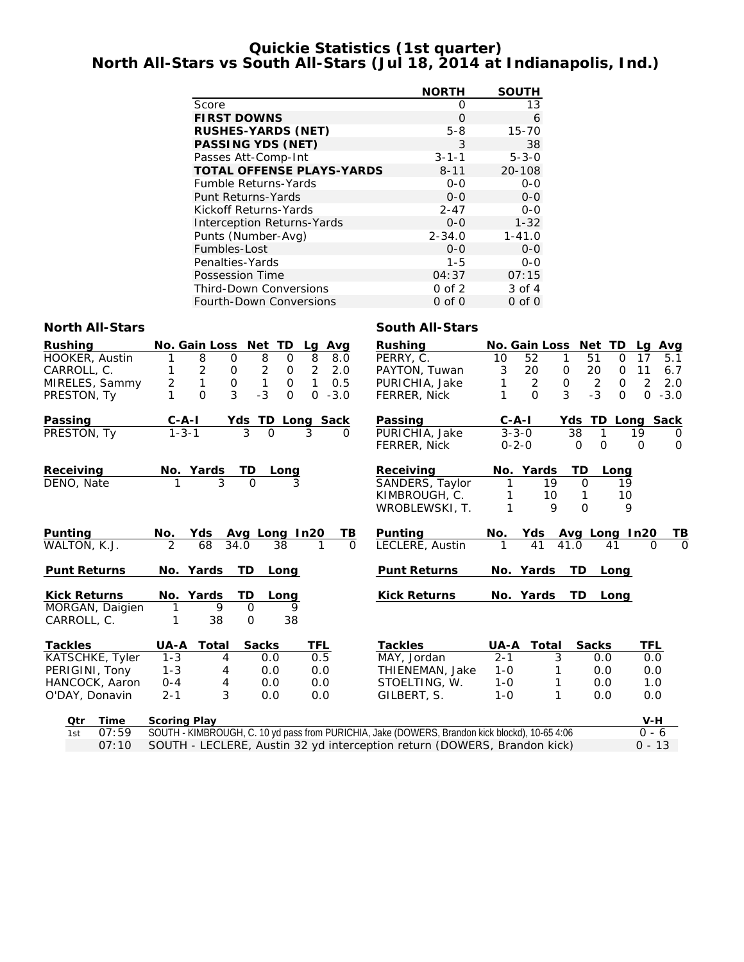# **Quickie Statistics (1st quarter) North All-Stars vs South All-Stars (Jul 18, 2014 at Indianapolis, Ind.)**

|                                   | <b>NORTH</b> | <b>SOUTH</b> |
|-----------------------------------|--------------|--------------|
| Score                             | O            | 13           |
| <b>FIRST DOWNS</b>                | $\Omega$     | 6            |
| <b>RUSHES-YARDS (NET)</b>         | $5 - 8$      | $15 - 70$    |
| PASSING YDS (NET)                 | 3            | 38           |
| Passes Att-Comp-Int               | $3 - 1 - 1$  | $5 - 3 - 0$  |
| <b>TOTAL OFFENSE PLAYS-YARDS</b>  | $8 - 11$     | 20-108       |
| <b>Fumble Returns-Yards</b>       | $O - O$      | $0 - 0$      |
| Punt Returns-Yards                | $0 - 0$      | $O - O$      |
| Kickoff Returns-Yards             | $2 - 47$     | 0-0          |
| <b>Interception Returns-Yards</b> | $0 - 0$      | $1 - 32$     |
| Punts (Number-Avg)                | $2 - 34.0$   | $1 - 41.0$   |
| Fumbles-Lost                      | $O-O$        | $0 - 0$      |
| Penalties-Yards                   | $1 - 5$      | $0 - 0$      |
| Possession Time                   | 04:37        | 07:15        |
| <b>Third-Down Conversions</b>     | $0$ of $2$   | 3 of 4       |
| <b>Fourth-Down Conversions</b>    | $0$ of $0$   | $0$ of $0$   |

## **North All-Stars South All-Stars**

| <b>Rushing</b>      | No. Gain Loss       |                     | Net<br><b>TD</b>  | Avg<br>Lg                      | <b>Rushing</b>                                                                                 |             | <b>No. Gain Loss</b> | Net<br>TD.        | Avg<br>Lg             |
|---------------------|---------------------|---------------------|-------------------|--------------------------------|------------------------------------------------------------------------------------------------|-------------|----------------------|-------------------|-----------------------|
| HOOKER, Austin      |                     | 8<br>0              | $\overline{8}$    | 8<br>$\mathbf 0$<br>8.0        | PERRY, C.                                                                                      | 10          | 52<br>1              | 51<br>$\mathbf 0$ | 17<br>5.1             |
| CARROLL, C.         |                     | 2<br>$\mathbf 0$    | $\overline{2}$    | $\overline{2}$<br>2.0<br>0     | PAYTON, Tuwan                                                                                  | 3           | 20<br>0              | 20<br>$\mathbf 0$ | 11<br>6.7             |
| MIRELES, Sammy      | $\overline{2}$      | 1<br>$\overline{0}$ | 1                 | 1<br>0.5<br>$\Omega$           | PURICHIA, Jake                                                                                 | 1           | 2<br>$\mathbf 0$     | 2<br>$\Omega$     | $\overline{2}$<br>2.0 |
| PRESTON, Ty         |                     | 3<br>O              | $-3$              | $\Omega$<br>$\Omega$<br>$-3.0$ | FERRER, Nick                                                                                   |             | 3<br>$\Omega$        | $-3$<br>$\Omega$  | $0 - 3.0$             |
| Passing             | $C - A - I$         |                     |                   | Yds TD Long Sack               | Passing                                                                                        | $C - A - I$ |                      | Yds               | <b>TD Long Sack</b>   |
| PRESTON, Ty         | $1 - 3 - 1$         |                     | 3<br>$\Omega$     | 3<br>0                         | PURICHIA, Jake                                                                                 | $3 - 3 - 0$ |                      | 38                | 19<br>0               |
|                     |                     |                     |                   |                                | <b>FERRER, Nick</b>                                                                            | $0 - 2 - 0$ |                      | $\Omega$<br>O     | $\Omega$<br>$\Omega$  |
| Receiving           | No. Yards           |                     | TD<br>Long        |                                | Receiving                                                                                      |             | No. Yards            | <b>TD</b><br>Long |                       |
| DENO, Nate          |                     | 3                   | $\Omega$          | 3                              | SANDERS, Taylor                                                                                |             | 19                   | $\Omega$          | 19                    |
|                     |                     |                     |                   |                                | KIMBROUGH, C.                                                                                  | 1           | 10                   |                   | 10                    |
|                     |                     |                     |                   |                                | WROBLEWSKI, T.                                                                                 | 1           | 9                    | $\Omega$          | 9                     |
| <b>Punting</b>      | No.                 | Yds                 | Avg Long In20     | ΤВ                             | Punting                                                                                        | No.         | Yds                  | Avg Long In20     | ТВ                    |
| WALTON, K.J.        | $\mathfrak{D}$      | 68<br>34.0          | 38                | 1<br>$\Omega$                  | LECLERE, Austin                                                                                | 1           | 41                   | 41.0<br>41        | $\Omega$<br>$\Omega$  |
| <b>Punt Returns</b> | No. Yards           |                     | <b>TD</b><br>Long |                                | <b>Punt Returns</b>                                                                            |             | No. Yards            | TD.<br>Long       |                       |
| <b>Kick Returns</b> | No. Yards           |                     | TD<br>Long        |                                | <b>Kick Returns</b>                                                                            |             | No. Yards            | TD.<br>Long       |                       |
| MORGAN, Daigien     | 1                   | 9                   | $\mathbf 0$       | 9                              |                                                                                                |             |                      |                   |                       |
| CARROLL, C.         |                     | 38                  | O                 | 38                             |                                                                                                |             |                      |                   |                       |
| <b>Tackles</b>      | UA-A                | <b>Total</b>        | <b>Sacks</b>      | TFL                            | <b>Tackles</b>                                                                                 | UA-A        | Total                | <b>Sacks</b>      | TFL                   |
| KATSCHKE, Tyler     | $1 - 3$             | 4                   | 0.0               | 0.5                            | MAY, Jordan                                                                                    | $2 - 1$     | 3                    | 0.0               | 0.0                   |
| PERIGINI, Tony      | $1 - 3$             | 4                   | 0.0               | 0.0                            | THIENEMAN, Jake                                                                                | $1 - 0$     |                      | 0.0               | 0.0                   |
| HANCOCK, Aaron      | $0 - 4$             | 4                   | 0.0               | 0.0                            | STOELTING, W.                                                                                  | $1 - 0$     |                      | 0.0               | 1.0                   |
| O'DAY, Donavin      | $2 - 1$             | 3                   | 0.0               | 0.0                            | GILBERT, S.                                                                                    | $1 - 0$     | 1                    | 0.0               | 0.0                   |
| <b>Time</b><br>Qtr  | <b>Scoring Play</b> |                     |                   |                                |                                                                                                |             |                      |                   | $V-H$                 |
| 07:59<br>1st        |                     |                     |                   |                                | SOUTH - KIMBROUGH, C. 10 yd pass from PURICHIA, Jake (DOWERS, Brandon kick blockd), 10-65 4:06 |             |                      |                   | $0 - 6$               |

07:10 SOUTH - LECLERE, Austin 32 yd interception return (DOWERS, Brandon kick) 0 - 13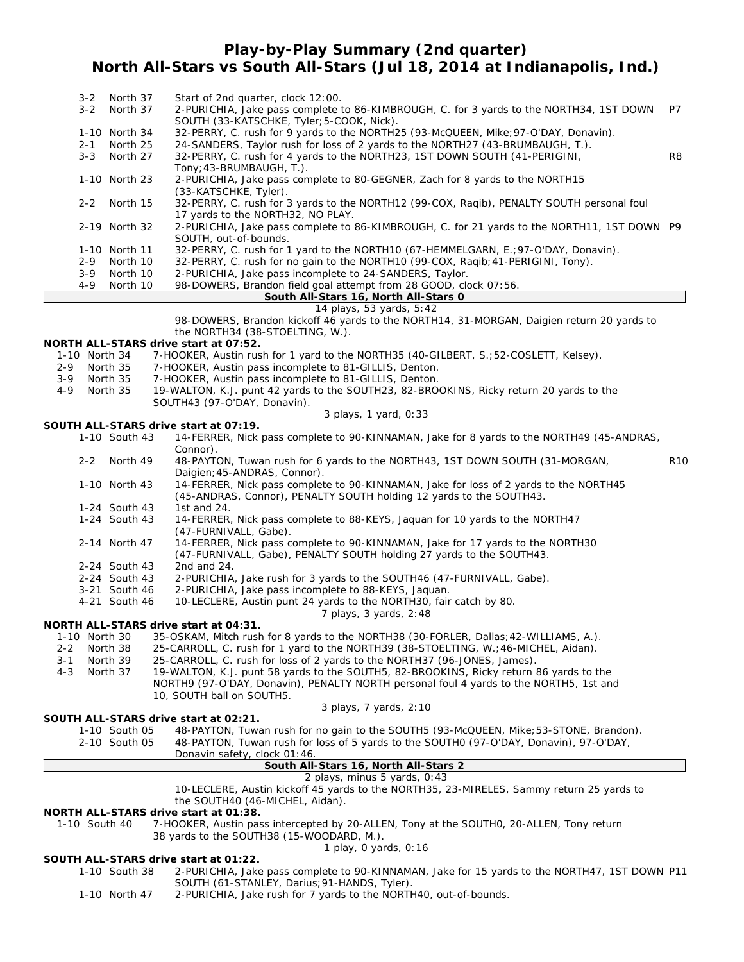# **Play-by-Play Summary (2nd quarter) North All-Stars vs South All-Stars (Jul 18, 2014 at Indianapolis, Ind.)**

| $3 - 2$ | North 37      | Start of 2nd quarter, clock 12:00.                                                          |    |
|---------|---------------|---------------------------------------------------------------------------------------------|----|
| $3 - 2$ | North 37      | 2-PURICHIA, Jake pass complete to 86-KIMBROUGH, C. for 3 yards to the NORTH34, 1ST DOWN     | P7 |
|         |               | SOUTH (33-KATSCHKE, Tyler; 5-COOK, Nick).                                                   |    |
|         | 1-10 North 34 | 32-PERRY, C. rush for 9 yards to the NORTH25 (93-McQUEEN, Mike; 97-O'DAY, Donavin).         |    |
| $2 - 1$ | North 25      | 24-SANDERS, Taylor rush for loss of 2 yards to the NORTH27 (43-BRUMBAUGH, T.).              |    |
| $3 - 3$ | North 27      | 32-PERRY, C. rush for 4 yards to the NORTH23, 1ST DOWN SOUTH (41-PERIGINI,                  | R8 |
|         |               |                                                                                             |    |
|         |               | Tony: 43-BRUMBAUGH, T.).                                                                    |    |
|         | 1-10 North 23 | 2-PURICHIA, Jake pass complete to 80-GEGNER, Zach for 8 yards to the NORTH15                |    |
|         |               | (33-KATSCHKE, Tyler).                                                                       |    |
|         | 2-2 North 15  | 32-PERRY, C. rush for 3 yards to the NORTH12 (99-COX, Raqib), PENALTY SOUTH personal foul   |    |
|         |               | 17 yards to the NORTH32, NO PLAY.                                                           |    |
|         | 2-19 North 32 | 2-PURICHIA, Jake pass complete to 86-KIMBROUGH, C. for 21 yards to the NORTH11, 1ST DOWN P9 |    |
|         |               | SOUTH, out-of-bounds.                                                                       |    |
|         | 1-10 North 11 | 32-PERRY, C. rush for 1 yard to the NORTH10 (67-HEMMELGARN, E.; 97-O'DAY, Donavin).         |    |
| $2 - 9$ | North 10      | 32-PERRY, C. rush for no gain to the NORTH10 (99-COX, Ragib; 41-PERIGINI, Tony).            |    |
| $3 - 9$ | North 10      | 2-PURICHIA, Jake pass incomplete to 24-SANDERS, Taylor.                                     |    |
| 4-9     | North 10      | 98-DOWERS, Brandon field goal attempt from 28 GOOD, clock 07:56.                            |    |
|         |               | South All-Stars 16, North All-Stars 0                                                       |    |
|         |               | 14 plays, 53 yards, 5:42                                                                    |    |
|         |               | 98-DOWERS, Brandon kickoff 46 yards to the NORTH14, 31-MORGAN, Daigien return 20 yards to   |    |
|         |               | the NORTH34 (38-STOELTING, W.).                                                             |    |
|         |               |                                                                                             |    |

### **NORTH ALL-STARS drive start at 07:52.**

| 1-10 North 34 7-HOOKER, Austin rush for 1 yard to the NORTH35 (40-GILBERT, S.; 52-COSLETT, Kelsey). |
|-----------------------------------------------------------------------------------------------------|
|-----------------------------------------------------------------------------------------------------|

- 2-9 North 35 7-HOOKER, Austin pass incomplete to 81-GILLIS, Denton.
- 3-9 North 35 7-HOOKER, Austin pass incomplete to 81-GILLIS, Denton.
- 4-9 North 35 19-WALTON, K.J. punt 42 yards to the SOUTH23, 82-BROOKINS, Ricky return 20 yards to the SOUTH43 (97-O'DAY, Donavin).

*3 plays, 1 yard, 0:33*

# **SOUTH ALL-STARS drive start at 07:19.**

- 14-FERRER, Nick pass complete to 90-KINNAMAN, Jake for 8 yards to the NORTH49 (45-ANDRAS, Connor).
- 2-2 North 49 48-PAYTON, Tuwan rush for 6 yards to the NORTH43, 1ST DOWN SOUTH (31-MORGAN, R10 Daigien;45-ANDRAS, Connor).

- 1-10 North 43 14-FERRER, Nick pass complete to 90-KINNAMAN, Jake for loss of 2 yards to the NORTH45 (45-ANDRAS, Connor), PENALTY SOUTH holding 12 yards to the SOUTH43.
- 1-24 South 43 1st and 24.<br>1-24 South 43 14-FERRER
- 14-FERRER, Nick pass complete to 88-KEYS, Jaquan for 10 yards to the NORTH47 (47-FURNIVALL, Gabe).
- 2-14 North 47 14-FERRER, Nick pass complete to 90-KINNAMAN, Jake for 17 yards to the NORTH30 (47-FURNIVALL, Gabe), PENALTY SOUTH holding 27 yards to the SOUTH43.
- 2-24 South 43 2nd and 24.
- 2-24 South 43 2-PURICHIA, Jake rush for 3 yards to the SOUTH46 (47-FURNIVALL, Gabe).
- 3-21 South 46 2-PURICHIA, Jake pass incomplete to 88-KEYS, Jaquan.
- 4-21 South 46 10-LECLERE, Austin punt 24 yards to the NORTH30, fair catch by 80.

### *7 plays, 3 yards, 2:48*

### **NORTH ALL-STARS drive start at 04:31.**

- 1-10 North 30 35-OSKAM, Mitch rush for 8 yards to the NORTH38 (30-FORLER, Dallas;42-WILLIAMS, A.).
- 2-2 North 38 25-CARROLL, C. rush for 1 yard to the NORTH39 (38-STOELTING, W.;46-MICHEL, Aidan).
- 3-1 North 39 25-CARROLL, C. rush for loss of 2 yards to the NORTH37 (96-JONES, James).
- 4-3 North 37 19-WALTON, K.J. punt 58 yards to the SOUTH5, 82-BROOKINS, Ricky return 86 yards to the NORTH9 (97-O'DAY, Donavin), PENALTY NORTH personal foul 4 yards to the NORTH5, 1st and 10, SOUTH ball on SOUTH5.

## **SOUTH ALL-STARS drive start at 02:21.**

*3 plays, 7 yards, 2:10*

- 1-10 South 05 48-PAYTON, Tuwan rush for no gain to the SOUTH5 (93-McQUEEN, Mike;53-STONE, Brandon).
- 2-10 South 05 48-PAYTON, Tuwan rush for loss of 5 yards to the SOUTH0 (97-O'DAY, Donavin), 97-O'DAY,

## Donavin safety, clock 01:46.

# **South All-Stars 16, North All-Stars 2**

*2 plays, minus 5 yards, 0:43* 10-LECLERE, Austin kickoff 45 yards to the NORTH35, 23-MIRELES, Sammy return 25 yards to the SOUTH40 (46-MICHEL, Aidan).

### **NORTH ALL-STARS drive start at 01:38.**

1-10 South 40 7-HOOKER, Austin pass intercepted by 20-ALLEN, Tony at the SOUTH0, 20-ALLEN, Tony return 38 yards to the SOUTH38 (15-WOODARD, M.).

### *1 play, 0 yards, 0:16*

# **SOUTH ALL-STARS drive start at 01:22.**

- 2-PURICHIA, Jake pass complete to 90-KINNAMAN, Jake for 15 yards to the NORTH47, 1ST DOWN P11 SOUTH (61-STANLEY, Darius;91-HANDS, Tyler).
- 1-10 North 47 2-PURICHIA, Jake rush for 7 yards to the NORTH40, out-of-bounds.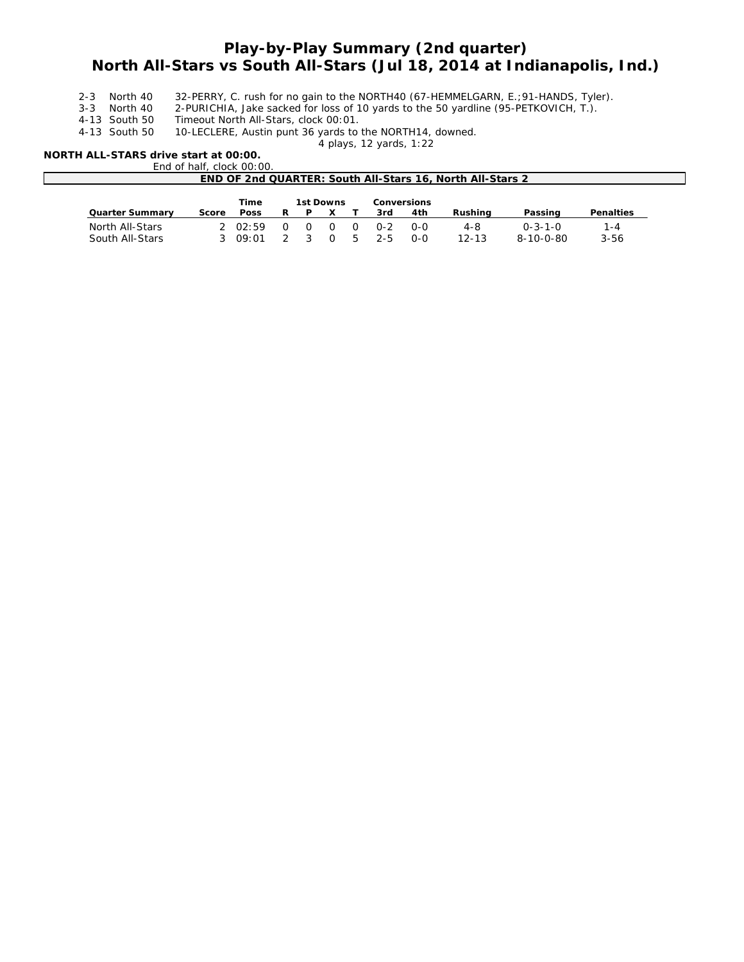# **Play-by-Play Summary (2nd quarter) North All-Stars vs South All-Stars (Jul 18, 2014 at Indianapolis, Ind.)**

- 2-3 North 40 32-PERRY, C. rush for no gain to the NORTH40 (67-HEMMELGARN, E.; 91-HANDS, Tyler).<br>3-3 North 40 2-PURICHIA, Jake sacked for loss of 10 yards to the 50 yardline (95-PETKOVICH, T.).
- 3-3 North 40 2-PURICHIA, Jake sacked for loss of 10 yards to the 50 yardline (95-PETKOVICH, T.).<br>4-13 South 50 Timeout North All-Stars, clock 00:01.
- Timeout North All-Stars, clock 00:01.
- 4-13 South 50 10-LECLERE, Austin punt 36 yards to the NORTH14, downed.

*4 plays, 12 yards, 1:22*

## **NORTH ALL-STARS drive start at 00:00.**

End of half, clock 00:00.

| END OF 2nd QUARTER: South All-Stars 16, North All-Stars 2 |       |          |   |    |        |          |         |     |           |                 |           |
|-----------------------------------------------------------|-------|----------|---|----|--------|----------|---------|-----|-----------|-----------------|-----------|
| 1st Downs<br>Time<br><b>Conversions</b>                   |       |          |   |    |        |          |         |     |           |                 |           |
| <b>Quarter Summary</b>                                    | Score | Poss     | R | P. |        |          | 3rd     | 4th | Rushina   | Passing         | Penalties |
| North All-Stars                                           |       | 20.02:59 |   | O. | - 0    | $\Omega$ | _ 0-2   | റ-റ | $4 - 8$   | $0 - 3 - 1 - 0$ | 1-4       |
| South All-Stars                                           |       | 309:01   |   | ્ર | $\cap$ | <b>5</b> | $2 - 5$ | റ-റ | $12 - 13$ | 8-10-0-80       | $3 - 56$  |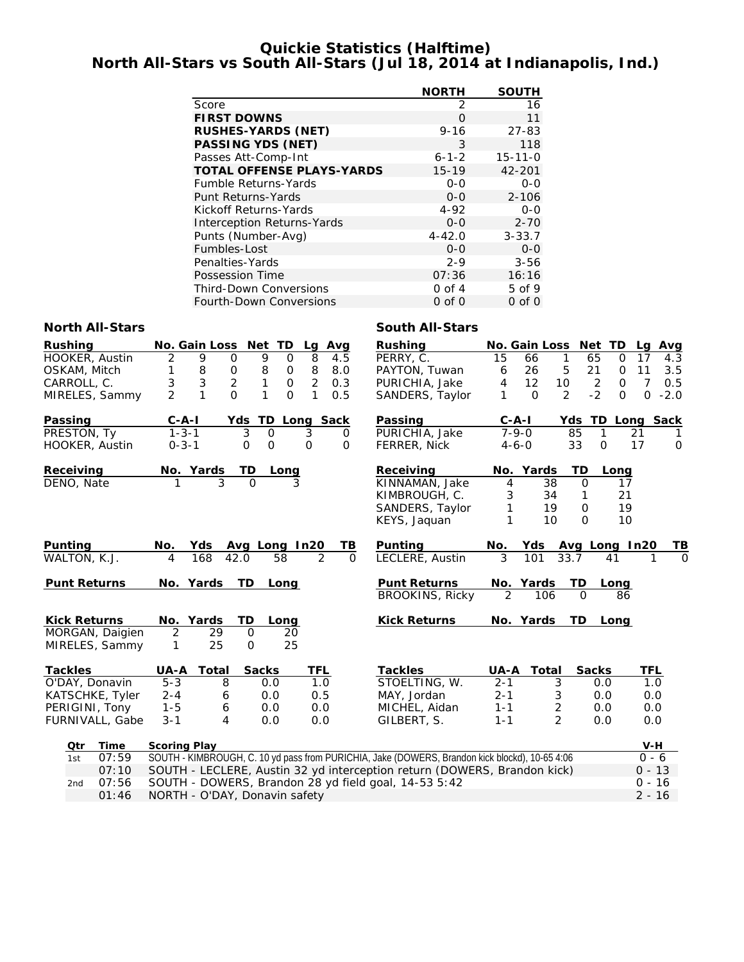# **Quickie Statistics (Halftime) North All-Stars vs South All-Stars (Jul 18, 2014 at Indianapolis, Ind.)**

|                                   | <b>NORTH</b> | <b>SOUTH</b>  |
|-----------------------------------|--------------|---------------|
| Score                             | 2            | 16            |
| <b>FIRST DOWNS</b>                | O            | 11            |
| <b>RUSHES-YARDS (NET)</b>         | $9 - 16$     | $27 - 83$     |
| <b>PASSING YDS (NET)</b>          | 3            | 118           |
| Passes Att-Comp-Int               | $6 - 1 - 2$  | $15 - 11 - 0$ |
| <b>TOTAL OFFENSE PLAYS-YARDS</b>  | $15 - 19$    | 42-201        |
| <b>Fumble Returns-Yards</b>       | $0 - 0$      | $0 - 0$       |
| Punt Returns-Yards                | $0 - 0$      | $2 - 106$     |
| Kickoff Returns-Yards             | $4 - 92$     | $0 - 0$       |
| <b>Interception Returns-Yards</b> | $0 - 0$      | $2 - 70$      |
| Punts (Number-Avg)                | $4 - 42.0$   | $3 - 33.7$    |
| Fumbles-Lost                      | $0 - 0$      | $0 - 0$       |
| Penalties-Yards                   | $2 - 9$      | $3 - 56$      |
| Possession Time                   | 07:36        | 16:16         |
| <b>Third-Down Conversions</b>     | $0$ of $4$   | 5 of 9        |
| <b>Fourth-Down Conversions</b>    | $0$ of $0$   | $0$ of $0$    |

## **North All-Stars South All-Stars**

| <b>Rushing</b><br>HOOKER, Austin<br>OSKAM, Mitch | No. Gain Loss Net TD<br>9<br>2<br>$\mathbf 0$<br>8<br>1<br>0 | Lg Avg<br>9<br>$\overline{8}$<br>$\mathbf 0$<br>4.5<br>8<br>$\, 8$<br>8.0<br>0                 | <b>Rushing</b><br>PERRY, C.<br>PAYTON, Tuwan  | 15<br>6                     | No. Gain Loss Net TD<br>1<br>66<br>5<br>26 | 65<br>$\mathbf 0$<br>21<br>$\mathsf{O}$ | Lg Avg<br>17<br>4.3<br>11<br>3.5 |
|--------------------------------------------------|--------------------------------------------------------------|------------------------------------------------------------------------------------------------|-----------------------------------------------|-----------------------------|--------------------------------------------|-----------------------------------------|----------------------------------|
| CARROLL, C.                                      | 3<br>$\overline{2}$<br>3                                     | $\mathbf{1}$<br>$\overline{2}$<br>0<br>0.3                                                     | PURICHIA, Jake                                | 4                           | 12<br>10                                   | $\overline{2}$<br>$\mathbf 0$           | $\overline{7}$<br>0.5            |
| MIRELES, Sammy                                   | $\mathfrak{D}$<br>$\mathbf{1}$<br>$\Omega$                   | 1<br>1<br>$\Omega$<br>0.5                                                                      | SANDERS, Taylor                               | 1                           | 2<br>$\Omega$                              | $-2$<br>$\Omega$                        | $-2.0$<br>$\Omega$               |
|                                                  |                                                              |                                                                                                |                                               |                             |                                            |                                         |                                  |
| Passing                                          | $C - A - I$                                                  | Yds TD Long Sack                                                                               | Passing                                       | $C - A - I$                 |                                            | Yds TD Long Sack                        |                                  |
| PRESTON, Ty                                      | $1 - 3 - 1$                                                  | 3<br>$\mathbf 0$<br>3<br>0                                                                     | PURICHIA, Jake                                | $7 - 9 - 0$                 | 85                                         | $\mathbf{1}$                            | 21                               |
| HOOKER, Austin                                   | $0 - 3 - 1$<br>O                                             | $\mathbf 0$<br>$\Omega$<br>$\Omega$                                                            | <b>FERRER, Nick</b>                           | $4 - 6 - 0$                 | 33                                         | $\Omega$                                | 17<br>$\mathbf 0$                |
| Receiving                                        | No. Yards                                                    | TD<br>Long                                                                                     | Receiving                                     | No.                         | Yards<br>TD                                | Long                                    |                                  |
| DENO, Nate                                       | 3<br>1                                                       | $\Omega$<br>3                                                                                  | KINNAMAN, Jake                                | 4                           | 38                                         | $\Omega$<br>17                          |                                  |
|                                                  |                                                              |                                                                                                | KIMBROUGH, C.                                 | 3                           | 34                                         | 21<br>1                                 |                                  |
|                                                  |                                                              |                                                                                                | SANDERS, Taylor                               | 1                           | 19                                         | 19<br>$\Omega$                          |                                  |
|                                                  |                                                              |                                                                                                | KEYS, Jaquan                                  | 1                           | 10                                         | 10<br>$\Omega$                          |                                  |
| <b>Punting</b>                                   | No.<br>Yds                                                   | Avg Long In20<br>TВ                                                                            | Punting                                       | No.                         | Yds                                        | Avg Long In20                           | <u>тв</u>                        |
| WALTON, K.J.                                     | 168<br>42.0<br>4                                             | $\overline{58}$<br>2<br>$\Omega$                                                               | LECLERE, Austin                               | 3                           | 101<br>33.7                                | 41                                      | $\overline{0}$                   |
|                                                  | TD.                                                          |                                                                                                |                                               |                             |                                            |                                         |                                  |
| <b>Punt Returns</b>                              | No. Yards                                                    | Long                                                                                           | <b>Punt Returns</b><br><b>BROOKINS, Ricky</b> | No. Yards<br>$\overline{2}$ | TD<br>106                                  | Long<br>$\Omega$<br>86                  |                                  |
|                                                  |                                                              |                                                                                                |                                               |                             |                                            |                                         |                                  |
| <b>Kick Returns</b>                              | No. Yards<br>TD                                              | Long                                                                                           | <b>Kick Returns</b>                           | No. Yards                   | TD.                                        | Lona                                    |                                  |
| MORGAN, Daigien                                  | $\overline{2}$<br>29                                         | 0<br>20                                                                                        |                                               |                             |                                            |                                         |                                  |
| MIRELES, Sammy                                   | 25<br>1                                                      | 25<br>$\Omega$                                                                                 |                                               |                             |                                            |                                         |                                  |
| <b>Tackles</b>                                   | UA-A<br>Total                                                | <b>Sacks</b><br>TFL                                                                            | <b>Tackles</b>                                | UA-A                        | <b>Total</b>                               | <b>Sacks</b>                            | <b>TFL</b>                       |
| O'DAY, Donavin                                   | $5 - 3$<br>8                                                 | 0.0<br>1.0                                                                                     | STOELTING, W.                                 | $2 - 1$                     | 3                                          | 0.0                                     | 1.0                              |
| KATSCHKE, Tyler                                  | $2 - 4$<br>6                                                 | 0.0<br>0.5                                                                                     | MAY, Jordan                                   | $2 - 1$                     | 3                                          | 0.0                                     | 0.0                              |
| PERIGINI, Tony                                   | $1 - 5$<br>6                                                 | 0.0<br>0.0                                                                                     | MICHEL, Aidan                                 | $1 - 1$                     | $\overline{c}$                             | 0.0                                     | 0.0                              |
| FURNIVALL, Gabe                                  | $3 - 1$<br>4                                                 | 0.0<br>0.0                                                                                     | GILBERT, S.                                   | $1 - 1$                     | 2                                          | 0.0                                     | 0.0                              |
| Qtr<br>Time                                      | <b>Scoring Play</b>                                          |                                                                                                |                                               |                             |                                            |                                         | V-H                              |
| 07:59<br>1st                                     |                                                              | SOUTH - KIMBROUGH, C. 10 yd pass from PURICHIA, Jake (DOWERS, Brandon kick blockd), 10-65 4:06 |                                               |                             |                                            |                                         | $0 - 6$                          |
| 07:10                                            |                                                              | SOUTH - LECLERE, Austin 32 yd interception return (DOWERS, Brandon kick)                       |                                               |                             |                                            |                                         | $0 - 13$                         |
| 07:56<br>2 <sub>nd</sub>                         |                                                              | SOUTH - DOWERS, Brandon 28 yd field goal, 14-53 5:42                                           |                                               |                             |                                            |                                         | $0 - 16$                         |

01:46 NORTH - O'DAY, Donavin safety 2 - 16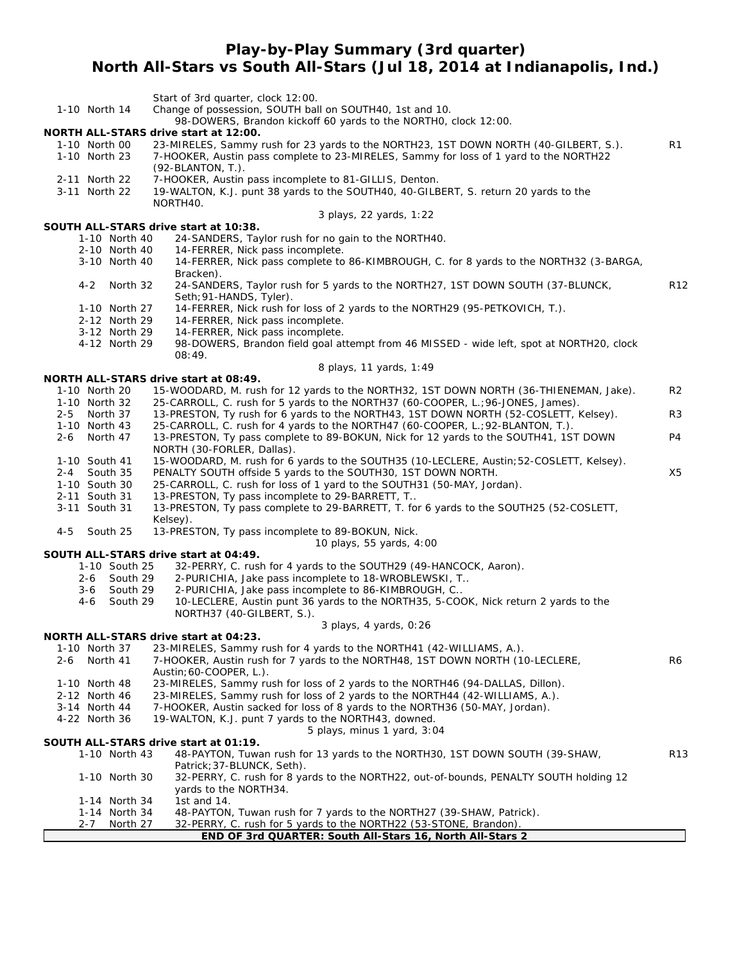# **Play-by-Play Summary (3rd quarter) North All-Stars vs South All-Stars (Jul 18, 2014 at Indianapolis, Ind.)**

|                                      | Start of 3rd quarter, clock 12:00.                                                                                                                    |                 |
|--------------------------------------|-------------------------------------------------------------------------------------------------------------------------------------------------------|-----------------|
| 1-10 North 14                        | Change of possession, SOUTH ball on SOUTH40, 1st and 10.<br>98-DOWERS, Brandon kickoff 60 yards to the NORTHO, clock 12:00.                           |                 |
|                                      | <b>NORTH ALL-STARS drive start at 12:00.</b>                                                                                                          |                 |
| 1-10 North 00                        | 23-MIRELES, Sammy rush for 23 yards to the NORTH23, 1ST DOWN NORTH (40-GILBERT, S.).                                                                  | R1              |
| 1-10 North 23                        | 7-HOOKER, Austin pass complete to 23-MIRELES, Sammy for loss of 1 yard to the NORTH22                                                                 |                 |
| 2-11 North 22                        | $(92-BLANTON, T.).$<br>7-HOOKER, Austin pass incomplete to 81-GILLIS, Denton.                                                                         |                 |
| 3-11 North 22                        | 19-WALTON, K.J. punt 38 yards to the SOUTH40, 40-GILBERT, S. return 20 yards to the                                                                   |                 |
|                                      | NORTH40.                                                                                                                                              |                 |
|                                      | 3 plays, 22 yards, 1:22                                                                                                                               |                 |
|                                      | SOUTH ALL-STARS drive start at 10:38.                                                                                                                 |                 |
| 1-10 North 40<br>2-10 North 40       | 24-SANDERS, Taylor rush for no gain to the NORTH40.<br>14-FERRER, Nick pass incomplete.                                                               |                 |
| 3-10 North 40                        | 14-FERRER, Nick pass complete to 86-KIMBROUGH, C. for 8 yards to the NORTH32 (3-BARGA,                                                                |                 |
|                                      | Bracken).                                                                                                                                             |                 |
| $4 - 2$<br>North 32                  | 24-SANDERS, Taylor rush for 5 yards to the NORTH27, 1ST DOWN SOUTH (37-BLUNCK,                                                                        | R <sub>12</sub> |
|                                      | Seth; 91-HANDS, Tyler).                                                                                                                               |                 |
| 1-10 North 27<br>2-12 North 29       | 14-FERRER, Nick rush for loss of 2 yards to the NORTH29 (95-PETKOVICH, T.).<br>14-FERRER, Nick pass incomplete.                                       |                 |
| 3-12 North 29                        | 14-FERRER, Nick pass incomplete.                                                                                                                      |                 |
| 4-12 North 29                        | 98-DOWERS, Brandon field goal attempt from 46 MISSED - wide left, spot at NORTH20, clock                                                              |                 |
|                                      | 08:49.                                                                                                                                                |                 |
|                                      | 8 plays, 11 yards, 1:49                                                                                                                               |                 |
| 1-10 North 20                        | NORTH ALL-STARS drive start at 08:49.<br>15-WOODARD, M. rush for 12 yards to the NORTH32, 1ST DOWN NORTH (36-THIENEMAN, Jake).                        | R2              |
| 1-10 North 32                        | 25-CARROLL, C. rush for 5 yards to the NORTH37 (60-COOPER, L.; 96-JONES, James).                                                                      |                 |
| $2 - 5$<br>North 37                  | 13-PRESTON, Ty rush for 6 yards to the NORTH43, 1ST DOWN NORTH (52-COSLETT, Kelsey).                                                                  | R3              |
| 1-10 North 43                        | 25-CARROLL, C. rush for 4 yards to the NORTH47 (60-COOPER, L.; 92-BLANTON, T.).                                                                       |                 |
| North 47<br>2-6                      | 13-PRESTON, Ty pass complete to 89-BOKUN, Nick for 12 yards to the SOUTH41, 1ST DOWN                                                                  | P4              |
| 1-10 South 41                        | NORTH (30-FORLER, Dallas).<br>15-WOODARD, M. rush for 6 yards to the SOUTH35 (10-LECLERE, Austin; 52-COSLETT, Kelsey).                                |                 |
| South 35<br>2-4                      | PENALTY SOUTH offside 5 yards to the SOUTH30, 1ST DOWN NORTH.                                                                                         | X5              |
| 1-10 South 30                        | 25-CARROLL, C. rush for loss of 1 yard to the SOUTH31 (50-MAY, Jordan).                                                                               |                 |
| 2-11 South 31                        | 13-PRESTON, Ty pass incomplete to 29-BARRETT, T                                                                                                       |                 |
| 3-11 South 31                        | 13-PRESTON, Ty pass complete to 29-BARRETT, T. for 6 yards to the SOUTH25 (52-COSLETT,                                                                |                 |
| $4 - 5$<br>South 25                  | Kelsey).<br>13-PRESTON, Ty pass incomplete to 89-BOKUN, Nick.                                                                                         |                 |
|                                      | 10 plays, 55 yards, 4:00                                                                                                                              |                 |
|                                      | SOUTH ALL-STARS drive start at 04:49.                                                                                                                 |                 |
| 1-10 South 25                        | 32-PERRY, C. rush for 4 yards to the SOUTH29 (49-HANCOCK, Aaron).                                                                                     |                 |
| 2-6<br>South 29<br>South 29          | 2-PURICHIA, Jake pass incomplete to 18-WROBLEWSKI, T                                                                                                  |                 |
| 3-6<br>South 29<br>4-6               | 2-PURICHIA, Jake pass incomplete to 86-KIMBROUGH, C<br>10-LECLERE, Austin punt 36 yards to the NORTH35, 5-COOK, Nick return 2 yards to the            |                 |
|                                      | NORTH37 (40-GILBERT, S.).                                                                                                                             |                 |
|                                      | 3 plays, 4 yards, 0:26                                                                                                                                |                 |
|                                      | NORTH ALL-STARS drive start at 04:23.                                                                                                                 |                 |
| 1-10 North 37<br>North 41<br>$2 - 6$ | 23-MIRELES, Sammy rush for 4 yards to the NORTH41 (42-WILLIAMS, A.).<br>7-HOOKER, Austin rush for 7 yards to the NORTH48, 1ST DOWN NORTH (10-LECLERE, | R6              |
|                                      | Austin; 60-COOPER, L.).                                                                                                                               |                 |
| 1-10 North 48                        | 23-MIRELES, Sammy rush for loss of 2 yards to the NORTH46 (94-DALLAS, Dillon).                                                                        |                 |
| 2-12 North 46                        | 23-MIRELES, Sammy rush for loss of 2 yards to the NORTH44 (42-WILLIAMS, A.).                                                                          |                 |
| 3-14 North 44                        | 7-HOOKER, Austin sacked for loss of 8 yards to the NORTH36 (50-MAY, Jordan).                                                                          |                 |
| 4-22 North 36                        | 19-WALTON, K.J. punt 7 yards to the NORTH43, downed.                                                                                                  |                 |
|                                      | 5 plays, minus 1 yard, 3:04<br>SOUTH ALL-STARS drive start at 01:19.                                                                                  |                 |
| 1-10 North 43                        | 48-PAYTON, Tuwan rush for 13 yards to the NORTH30, 1ST DOWN SOUTH (39-SHAW,                                                                           | R <sub>13</sub> |
|                                      | Patrick; 37-BLUNCK, Seth).                                                                                                                            |                 |
| 1-10 North 30                        | 32-PERRY, C. rush for 8 yards to the NORTH22, out-of-bounds, PENALTY SOUTH holding 12                                                                 |                 |
|                                      | yards to the NORTH34.                                                                                                                                 |                 |
| 1-14 North 34<br>1-14 North 34       | 1st and $14$ .<br>48-PAYTON, Tuwan rush for 7 yards to the NORTH27 (39-SHAW, Patrick).                                                                |                 |
| $2 - 7$<br>North 27                  | 32-PERRY, C. rush for 5 yards to the NORTH22 (53-STONE, Brandon).                                                                                     |                 |
|                                      | END OF 3rd QUARTER: South All-Stars 16, North All-Stars 2                                                                                             |                 |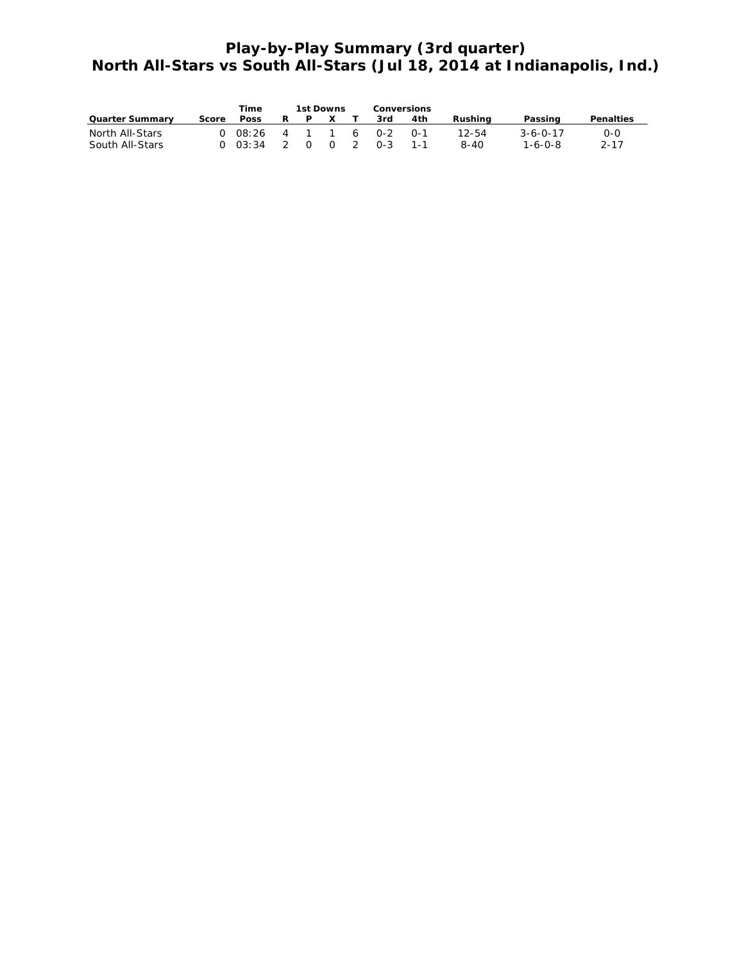# **Play-by-Play Summary (3rd quarter) North All-Stars vs South All-Stars (Jul 18, 2014 at Indianapolis, Ind.)**

|                        |       | Time                |   | 1st Downs |                     | Conversions |     |         |                  |                  |
|------------------------|-------|---------------------|---|-----------|---------------------|-------------|-----|---------|------------------|------------------|
| <b>Quarter Summary</b> | Score | <b>Poss</b>         | R | P.        | $\mathsf{x}$        | 3rd         | 4th | Rushina | Passing          | <b>Penalties</b> |
| North All-Stars        |       | 0 08:26 4 1 1 6 0-2 |   |           |                     |             | ∩-1 | 12-54   | $3 - 6 - 0 - 17$ | $O-O$            |
| South All-Stars        |       | $0 \t03:34 \t2$     |   |           | $0 \quad 0 \quad 2$ | $0 - 3$     | 1-1 | 8-40    | $1 - 6 - 0 - 8$  | $2 - 17$         |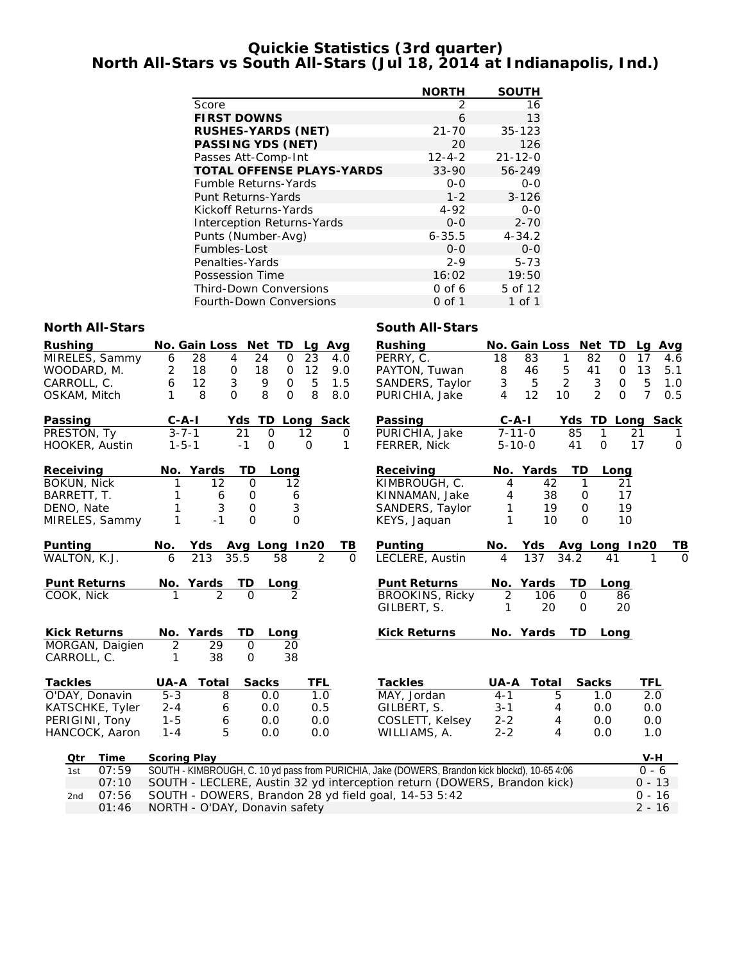# **Quickie Statistics (3rd quarter) North All-Stars vs South All-Stars (Jul 18, 2014 at Indianapolis, Ind.)**

|                                   | <b>NORTH</b> | <b>SOUTH</b>  |
|-----------------------------------|--------------|---------------|
| Score                             | 2            | 16            |
| <b>FIRST DOWNS</b>                | 6            | 13            |
| <b>RUSHES-YARDS (NET)</b>         | $21 - 70$    | $35 - 123$    |
| <b>PASSING YDS (NET)</b>          | 20           | 126           |
| Passes Att-Comp-Int               | $12 - 4 - 2$ | $21 - 12 - 0$ |
| <b>TOTAL OFFENSE PLAYS-YARDS</b>  | $33 - 90$    | 56-249        |
| <b>Fumble Returns-Yards</b>       | $0 - 0$      | $0 - 0$       |
| Punt Returns-Yards                | $1 - 2$      | $3 - 126$     |
| Kickoff Returns-Yards             | 4-92         | $0 - 0$       |
| <b>Interception Returns-Yards</b> | $0 - 0$      | $2 - 70$      |
| Punts (Number-Avg)                | $6 - 35.5$   | $4 - 34.2$    |
| Fumbles-Lost                      | $0 - 0$      | $0 - 0$       |
| Penalties-Yards                   | $2 - 9$      | $5 - 73$      |
| Possession Time                   | 16:02        | 19:50         |
| <b>Third-Down Conversions</b>     | $0$ of 6     | 5 of 12       |
| Fourth-Down Conversions           | 0 of 1       | 1 of 1        |

## **North All-Stars South All-Stars**

| <b>Rushing</b>      | No. Gain Loss                     | Net TD<br>Lg                        | Avg                        | <b>Rushing</b>                                                                                 |                | No. Gain Loss       | Net TD                     | Avg<br>Lg             |
|---------------------|-----------------------------------|-------------------------------------|----------------------------|------------------------------------------------------------------------------------------------|----------------|---------------------|----------------------------|-----------------------|
| MIRELES, Sammy      | 6<br>28<br>4                      | 24<br>$\mathbf 0$<br>23             | 4.0                        | PERRY, C.                                                                                      | 18             | 83<br>1             | 82<br>$\mathbf 0$          | 17<br>4.6             |
| WOODARD, M.         | 2<br>18<br>0                      | 18<br>12<br>0                       | 9.0                        | PAYTON, Tuwan                                                                                  | 8              | 5<br>46             | 41<br>0                    | 13<br>5.1             |
| CARROLL, C.         | $\mathfrak{Z}$<br>6<br>12         | 9<br>$\mathbf 0$                    | 5<br>1.5                   | SANDERS, Taylor                                                                                | 3              | $\overline{2}$<br>5 | 3<br>$\mathbf 0$           | 5<br>1.0              |
| OSKAM, Mitch        | $\mathbf{O}$<br>$\mathbf{1}$<br>8 | 8<br>$\mathbf 0$                    | 8<br>8.0                   | PURICHIA, Jake                                                                                 | $\overline{4}$ | 12<br>10            | $\overline{2}$<br>$\Omega$ | $\overline{7}$<br>0.5 |
| Passing             | $C - A - I$                       | Yds TD Long Sack                    |                            | Passing                                                                                        | $C-A-I$        |                     |                            | Yds TD Long Sack      |
| PRESTON, Ty         | $3 - 7 - 1$                       | 21<br>$\Omega$<br>$12 \overline{ }$ | $\Omega$                   | PURICHIA, Jake                                                                                 | $7 - 11 - 0$   |                     | 85<br>$\mathbf{1}$         | 21                    |
| HOOKER, Austin      | $1 - 5 - 1$                       | $-1$<br>$\mathbf 0$<br>$\mathbf 0$  | 1                          | <b>FERRER, Nick</b>                                                                            | $5 - 10 - 0$   |                     | 41<br>$\mathbf 0$          | 17<br>$\mathbf 0$     |
| Receiving           | No. Yards                         | TD<br>Long                          |                            | Receiving                                                                                      |                | No. Yards           | TD<br>Long                 |                       |
| <b>BOKUN, Nick</b>  | $12 \overline{ }$<br>1            | $\Omega$<br>$12 \overline{ }$       |                            | KIMBROUGH, C.                                                                                  | 4              | 42                  | $\mathbf{1}$<br>21         |                       |
| BARRETT, T.         | 1<br>6                            | 0<br>6                              |                            | KINNAMAN, Jake                                                                                 | 4              | 38                  | 17<br>0                    |                       |
| DENO, Nate          | 1<br>3                            | $\sqrt{3}$<br>$\mathsf{O}\xspace$   |                            | SANDERS, Taylor                                                                                | 1              | 19                  | 19<br>0                    |                       |
| MIRELES, Sammy      | 1<br>$-1$                         | $\Omega$<br>$\Omega$                |                            | KEYS, Jaquan                                                                                   | 1              | 10                  | $\Omega$                   | 10                    |
| Punting             | Yds<br>No.                        | Avg Long In20                       | TВ                         | Punting                                                                                        | No.            |                     | Yds Avg Long In20          | ΤВ                    |
| WALTON, K.J.        | 213<br>35.5<br>6                  | 58                                  | $\overline{2}$<br>$\Omega$ | LECLERE, Austin                                                                                | 4              | 137<br>34.2         | 41                         | $\Omega$              |
| <b>Punt Returns</b> | No. Yards                         | <b>TD</b><br>Long                   |                            | <b>Punt Returns</b>                                                                            |                | No. Yards           | TD<br>Long                 |                       |
| COOK, Nick          |                                   | $\Omega$                            |                            | <b>BROOKINS, Ricky</b>                                                                         | 2              | 106                 | $\mathbf 0$<br>86          |                       |
|                     |                                   |                                     |                            | GILBERT, S.                                                                                    | 1              | 20                  | 20<br>$\mathbf 0$          |                       |
| <b>Kick Returns</b> | No. Yards                         | TD<br>Long                          |                            | <b>Kick Returns</b>                                                                            |                | No. Yards           | <b>TD</b><br>Long          |                       |
| MORGAN, Daigien     | 2<br>$\overline{29}$              | $\mathbf 0$<br>20                   |                            |                                                                                                |                |                     |                            |                       |
| CARROLL, C.         | 38<br>1                           | 38<br>$\mathbf 0$                   |                            |                                                                                                |                |                     |                            |                       |
| <b>Tackles</b>      | UA-A<br>Total                     | <b>Sacks</b>                        | <b>TFL</b>                 | <b>Tackles</b>                                                                                 | UA-A           | Total               | <b>Sacks</b>               | TFL                   |
| O'DAY, Donavin      | $5 - 3$<br>8                      | 0.0                                 | 1.0                        | MAY, Jordan                                                                                    | $4 - 1$        | 5                   | 1.0                        | 2.0                   |
| KATSCHKE, Tyler     | $2 - 4$<br>6                      | 0.0                                 | 0.5                        | GILBERT, S.                                                                                    | $3 - 1$        | 4                   | 0.0                        | 0.0                   |
| PERIGINI, Tony      | $1 - 5$<br>$\boldsymbol{6}$       | 0.0                                 | 0.0                        | COSLETT, Kelsey                                                                                | $2 - 2$        | 4                   | 0.0                        | 0.0                   |
| HANCOCK, Aaron      | 5<br>$1 - 4$                      | 0.0                                 | 0.0                        | WILLIAMS, A.                                                                                   | $2 - 2$        | 4                   | 0.0                        | 1.0                   |
| Qtr<br>Time         | <b>Scoring Play</b>               |                                     |                            |                                                                                                |                |                     |                            | V-H                   |
| 07:59<br>1st        |                                   |                                     |                            | SOUTH - KIMBROUGH, C. 10 yd pass from PURICHIA, Jake (DOWERS, Brandon kick blockd), 10-65 4:06 |                |                     |                            | $0 - 6$               |
| 07:10               |                                   |                                     |                            | SOUTH - LECLERE, Austin 32 yd interception return (DOWERS, Brandon kick)                       |                |                     |                            | $0 - 13$              |
| 07:56<br>2nd        |                                   |                                     |                            | SOUTH - DOWERS, Brandon 28 yd field goal, 14-53 5:42                                           |                |                     |                            | $0 - 16$              |

01:46 NORTH - O'DAY, Donavin safety 2 - 16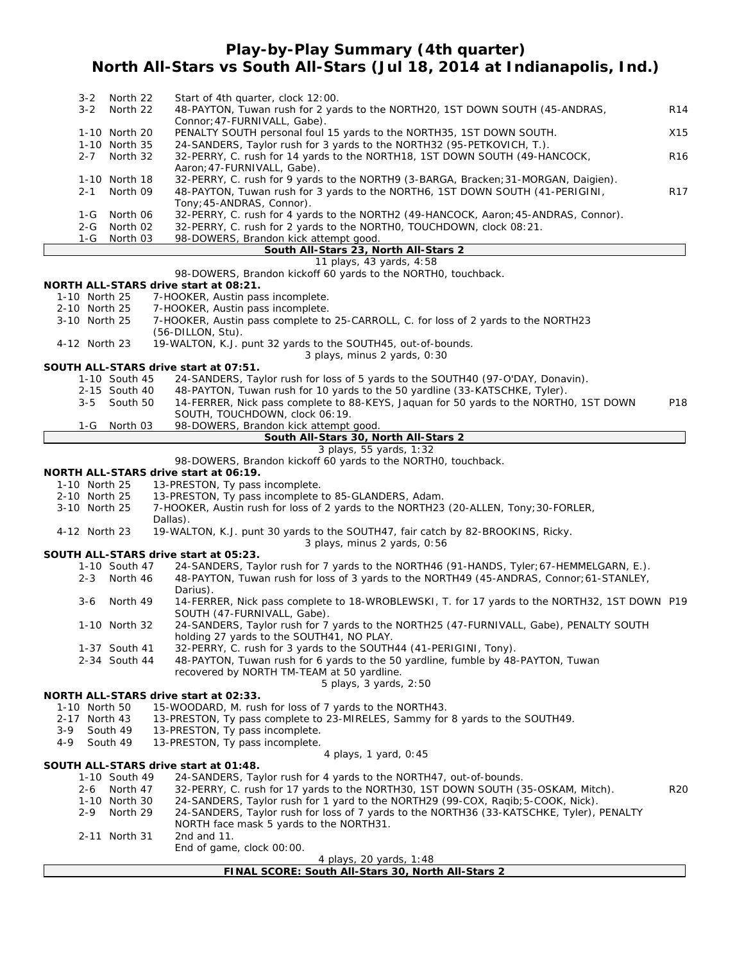# **Play-by-Play Summary (4th quarter) North All-Stars vs South All-Stars (Jul 18, 2014 at Indianapolis, Ind.)**

| $3 - 2$                        | North 22                  | Start of 4th quarter, clock 12:00.                                                                                                           |                 |
|--------------------------------|---------------------------|----------------------------------------------------------------------------------------------------------------------------------------------|-----------------|
| $3 - 2$                        | North 22                  | 48-PAYTON, Tuwan rush for 2 yards to the NORTH20, 1ST DOWN SOUTH (45-ANDRAS,                                                                 | R <sub>14</sub> |
|                                | 1-10 North 20             | Connor; 47-FURNIVALL, Gabe).<br>PENALTY SOUTH personal foul 15 yards to the NORTH35, 1ST DOWN SOUTH.                                         | X15             |
|                                | 1-10 North 35             | 24-SANDERS, Taylor rush for 3 yards to the NORTH32 (95-PETKOVICH, T.).                                                                       |                 |
| $2 - 7$                        | North 32                  | 32-PERRY, C. rush for 14 yards to the NORTH18, 1ST DOWN SOUTH (49-HANCOCK,                                                                   | R <sub>16</sub> |
|                                |                           | Aaron; 47-FURNIVALL, Gabe).<br>32-PERRY, C. rush for 9 yards to the NORTH9 (3-BARGA, Bracken; 31-MORGAN, Daigien).                           |                 |
| $2 - 1$                        | 1-10 North 18<br>North 09 | 48-PAYTON, Tuwan rush for 3 yards to the NORTH6, 1ST DOWN SOUTH (41-PERIGINI,                                                                | R <sub>17</sub> |
|                                |                           | Tony; 45-ANDRAS, Connor).                                                                                                                    |                 |
| 1-G                            | North 06                  | 32-PERRY, C. rush for 4 yards to the NORTH2 (49-HANCOCK, Aaron; 45-ANDRAS, Connor).                                                          |                 |
| $2 - G$                        | North 02                  | 32-PERRY, C. rush for 2 yards to the NORTHO, TOUCHDOWN, clock 08:21.                                                                         |                 |
| 1-G                            | North 03                  | 98-DOWERS, Brandon kick attempt good.<br>South All-Stars 23, North All-Stars 2                                                               |                 |
|                                |                           | 11 plays, 43 yards, 4:58                                                                                                                     |                 |
|                                |                           | 98-DOWERS, Brandon kickoff 60 yards to the NORTHO, touchback.                                                                                |                 |
|                                |                           | <b>NORTH ALL-STARS drive start at 08:21.</b>                                                                                                 |                 |
| 1-10 North 25<br>2-10 North 25 |                           | 7-HOOKER, Austin pass incomplete.<br>7-HOOKER, Austin pass incomplete.                                                                       |                 |
| 3-10 North 25                  |                           | 7-HOOKER, Austin pass complete to 25-CARROLL, C. for loss of 2 yards to the NORTH23                                                          |                 |
|                                |                           | (56-DILLON, Stu).                                                                                                                            |                 |
| 4-12 North 23                  |                           | 19-WALTON, K.J. punt 32 yards to the SOUTH45, out-of-bounds.                                                                                 |                 |
|                                |                           | 3 plays, minus 2 yards, 0:30                                                                                                                 |                 |
|                                | 1-10 South 45             | SOUTH ALL-STARS drive start at 07:51.<br>24-SANDERS, Taylor rush for loss of 5 yards to the SOUTH40 (97-O'DAY, Donavin).                     |                 |
|                                | 2-15 South 40             | 48-PAYTON, Tuwan rush for 10 yards to the 50 yardline (33-KATSCHKE, Tyler).                                                                  |                 |
| $3 - 5$                        | South 50                  | 14-FERRER, Nick pass complete to 88-KEYS, Jaquan for 50 yards to the NORTHO, 1ST DOWN                                                        | P18             |
|                                |                           | SOUTH, TOUCHDOWN, clock 06:19.                                                                                                               |                 |
| $1-G$                          | North 03                  | 98-DOWERS, Brandon kick attempt good.                                                                                                        |                 |
|                                |                           | South All-Stars 30, North All-Stars 2<br>3 plays, 55 yards, 1:32                                                                             |                 |
|                                |                           | 98-DOWERS, Brandon kickoff 60 yards to the NORTHO, touchback.                                                                                |                 |
|                                |                           | <b>NORTH ALL-STARS drive start at 06:19.</b>                                                                                                 |                 |
| 1-10 North 25                  |                           | 13-PRESTON, Ty pass incomplete.                                                                                                              |                 |
| 2-10 North 25<br>3-10 North 25 |                           | 13-PRESTON, Ty pass incomplete to 85-GLANDERS, Adam.<br>7-HOOKER, Austin rush for loss of 2 yards to the NORTH23 (20-ALLEN, Tony; 30-FORLER, |                 |
|                                |                           | Dallas).                                                                                                                                     |                 |
| 4-12 North 23                  |                           | 19-WALTON, K.J. punt 30 yards to the SOUTH47, fair catch by 82-BROOKINS, Ricky.                                                              |                 |
|                                |                           | 3 plays, minus 2 yards, 0:56<br>SOUTH ALL-STARS drive start at 05:23.                                                                        |                 |
|                                | 1-10 South 47             | 24-SANDERS, Taylor rush for 7 yards to the NORTH46 (91-HANDS, Tyler; 67-HEMMELGARN, E.).                                                     |                 |
| $2 - 3$                        | North 46                  | 48-PAYTON, Tuwan rush for loss of 3 yards to the NORTH49 (45-ANDRAS, Connor; 61-STANLEY,                                                     |                 |
|                                |                           | Darius).                                                                                                                                     |                 |
| $3-6$                          | North 49                  | 14-FERRER, Nick pass complete to 18-WROBLEWSKI, T. for 17 yards to the NORTH32, 1ST DOWN P19                                                 |                 |
|                                | 1-10 North 32             | SOUTH (47-FURNIVALL, Gabe).<br>24-SANDERS, Taylor rush for 7 yards to the NORTH25 (47-FURNIVALL, Gabe), PENALTY SOUTH                        |                 |
|                                |                           | holding 27 yards to the SOUTH41, NO PLAY.                                                                                                    |                 |
|                                | 1-37 South 41             | 32-PERRY, C. rush for 3 yards to the SOUTH44 (41-PERIGINI, Tony).                                                                            |                 |
|                                | 2-34 South 44             | 48-PAYTON, Tuwan rush for 6 yards to the 50 yardline, fumble by 48-PAYTON, Tuwan                                                             |                 |
|                                |                           | recovered by NORTH TM-TEAM at 50 yardline.                                                                                                   |                 |
|                                |                           | 5 plays, 3 yards, 2:50<br>NORTH ALL-STARS drive start at 02:33.                                                                              |                 |
| 1-10 North 50                  |                           | 15-WOODARD, M. rush for loss of 7 yards to the NORTH43.                                                                                      |                 |
| 2-17 North 43                  |                           | 13-PRESTON, Ty pass complete to 23-MIRELES, Sammy for 8 yards to the SOUTH49.                                                                |                 |
| 3-9                            | South 49                  | 13-PRESTON, Ty pass incomplete.                                                                                                              |                 |
| 4-9                            | South 49                  | 13-PRESTON, Ty pass incomplete.                                                                                                              |                 |
|                                |                           | 4 plays, 1 yard, 0:45<br>SOUTH ALL-STARS drive start at 01:48.                                                                               |                 |
|                                | 1-10 South 49             | 24-SANDERS, Taylor rush for 4 yards to the NORTH47, out-of-bounds.                                                                           |                 |
| 2-6                            | North 47                  | 32-PERRY, C. rush for 17 yards to the NORTH30, 1ST DOWN SOUTH (35-OSKAM, Mitch).                                                             | R20             |
|                                | 1-10 North 30             | 24-SANDERS, Taylor rush for 1 yard to the NORTH29 (99-COX, Raqib; 5-COOK, Nick).                                                             |                 |
| $2 - 9$                        | North 29                  | 24-SANDERS, Taylor rush for loss of 7 yards to the NORTH36 (33-KATSCHKE, Tyler), PENALTY                                                     |                 |
|                                | 2-11 North 31             | NORTH face mask 5 yards to the NORTH31.                                                                                                      |                 |
|                                |                           | 2nd and $11$ .<br>End of game, clock 00:00.                                                                                                  |                 |
|                                |                           | 4 plays, 20 yards, 1:48                                                                                                                      |                 |

## **FINAL SCORE: South All-Stars 30, North All-Stars 2**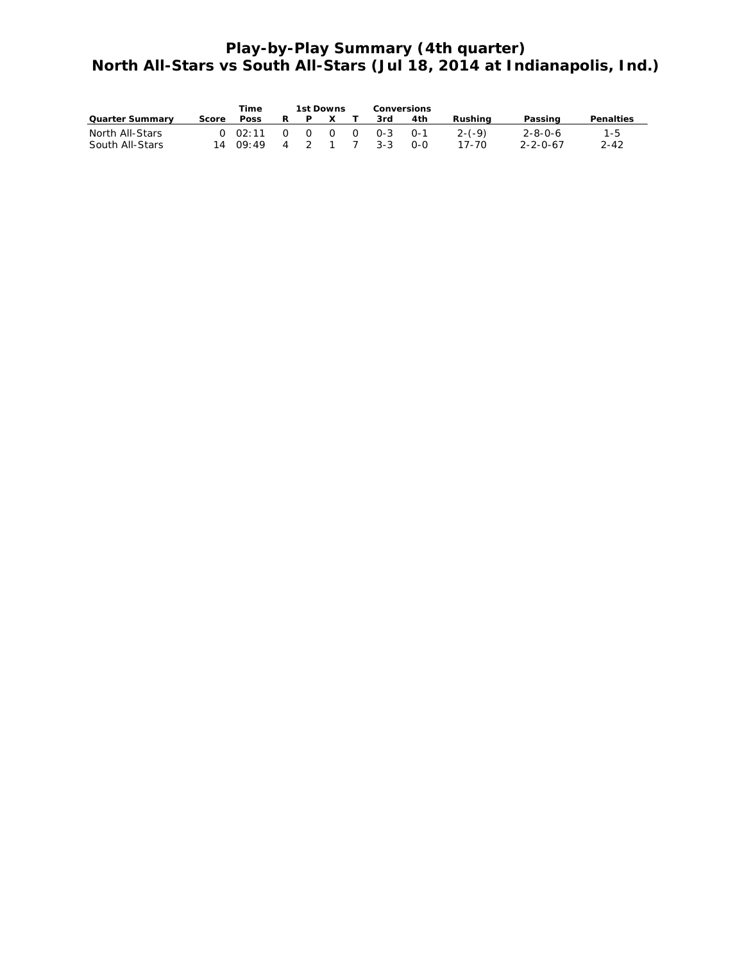# **Play-by-Play Summary (4th quarter) North All-Stars vs South All-Stars (Jul 18, 2014 at Indianapolis, Ind.)**

|                        |       | Time                               |   | 1st Downs |              | <b>Conversions</b> |      |          |                  |                  |
|------------------------|-------|------------------------------------|---|-----------|--------------|--------------------|------|----------|------------------|------------------|
| <b>Quarter Summary</b> | Score | <b>Poss</b>                        | R | P.        | $\mathsf{x}$ | 3rd                | 4th  | Rushina  | Passing          | <b>Penalties</b> |
| North All-Stars        |       | $0$ 02:11 0 0 0 0 0-3 0-1          |   |           |              |                    |      | $2-(-9)$ | -2-8-0-6         | $1 - 5$          |
| South All-Stars        |       | $14 \t09:49 \t4 \t2 \t1 \t7 \t3-3$ |   |           |              |                    | _റ-റ | 17-70    | $2 - 2 - 0 - 67$ | 2-42             |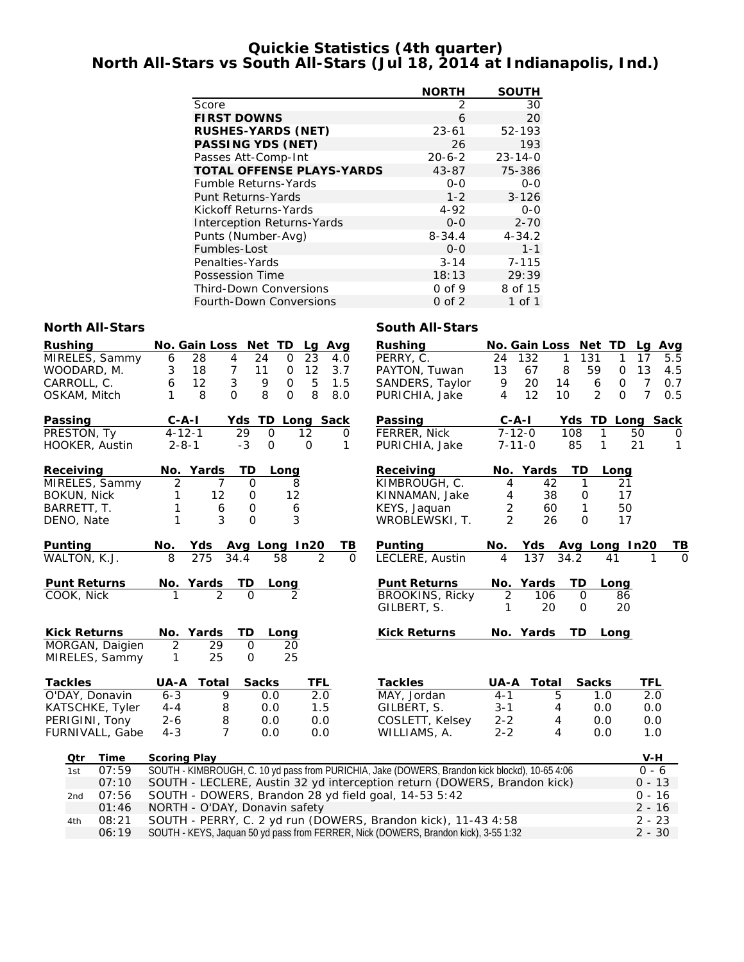# **Quickie Statistics (4th quarter) North All-Stars vs South All-Stars (Jul 18, 2014 at Indianapolis, Ind.)**

|                                   | <b>NORTH</b> | <b>SOUTH</b>  |
|-----------------------------------|--------------|---------------|
| Score                             | 2            | 30            |
| <b>FIRST DOWNS</b>                | 6            | 20            |
| <b>RUSHES-YARDS (NET)</b>         | $23 - 61$    | 52-193        |
| <b>PASSING YDS (NET)</b>          | 26           | 193           |
| Passes Att-Comp-Int               | $20 - 6 - 2$ | $23 - 14 - 0$ |
| <b>TOTAL OFFENSE PLAYS-YARDS</b>  | 43-87        | 75-386        |
| <b>Fumble Returns-Yards</b>       | $0 - 0$      | $0 - 0$       |
| Punt Returns-Yards                | $1 - 2$      | $3 - 126$     |
| Kickoff Returns-Yards             | 4-92         | $0 - 0$       |
| <b>Interception Returns-Yards</b> | $0 - 0$      | $2 - 70$      |
| Punts (Number-Avg)                | $8 - 34.4$   | $4 - 34.2$    |
| Fumbles-Lost                      | $0 - 0$      | $1 - 1$       |
| Penalties-Yards                   | $3 - 14$     | $7 - 115$     |
| Possession Time                   | 18:13        | 29:39         |
| <b>Third-Down Conversions</b>     | $0$ of 9     | 8 of 15       |
| Fourth-Down Conversions           | 0 of 2       | 1 of 1        |

## **North All-Stars South All-Stars**

| <b>Rushing</b>      | No. Gain Loss<br>Net TD<br>Avg<br>Lg                                                           | <b>Rushing</b>         | No. Gain Loss Net TD                        | Lg<br>Avg             |
|---------------------|------------------------------------------------------------------------------------------------|------------------------|---------------------------------------------|-----------------------|
| MIRELES, Sammy      | 4<br>$\mathbf 0$<br>6<br>28<br>24<br>23<br>4.0                                                 | PERRY, C.              | 131<br>24<br>132<br>1<br>1                  | 17<br>5.5             |
| WOODARD, M.         | $\overline{7}$<br>12<br>18<br>3<br>11<br>$\mathbf 0$<br>3.7                                    | PAYTON, Tuwan          | 59<br>13<br>67<br>8<br>0                    | 13<br>4.5             |
| CARROLL, C.         | $\mathfrak{Z}$<br>12<br>9<br>$\mathsf O$<br>5<br>1.5<br>6                                      | SANDERS, Taylor        | 9<br>20<br>14<br>6<br>$\mathbf 0$           | $\overline{7}$<br>0.7 |
| OSKAM, Mitch        | 8<br>8<br>$\Omega$<br>8<br>1<br>$\Omega$<br>8.0                                                | PURICHIA, Jake         | $\overline{2}$<br>$\Omega$<br>4<br>12<br>10 | $\overline{7}$<br>0.5 |
| Passing             | $C - A - I$<br>Yds TD<br>Long Sack                                                             | Passing                | $C - A - I$<br>Yds TD Long Sack             |                       |
| PRESTON, Ty         | $4 - 12 - 1$<br>29<br>$\Omega$<br>12<br>$\Omega$                                               | FERRER, Nick           | $7 - 12 - 0$<br>108<br>1                    | 50<br>O               |
| HOOKER, Austin      | $-3$<br>$2 - 8 - 1$<br>$\mathbf 0$<br>O<br>1                                                   | PURICHIA, Jake         | 85<br>1<br>$7 - 11 - 0$                     | 21<br>1               |
| Receiving           | No. Yards<br>TD<br>Long                                                                        | Receiving              | No. Yards<br>TD<br>Long                     |                       |
| MIRELES, Sammy      | $\overline{2}$<br>7<br>0<br>8                                                                  | KIMBROUGH, C.          | 42<br>$\mathbf{1}$<br>21<br>4               |                       |
| <b>BOKUN, Nick</b>  | 12<br>12<br>$\mathbf 0$<br>1                                                                   | KINNAMAN, Jake         | 38<br>17<br>4<br>0                          |                       |
| BARRETT, T.         | 1<br>$\mathbf 0$<br>6<br>6                                                                     | KEYS, Jaquan           | 2<br>50<br>60<br>1                          |                       |
| DENO, Nate          | 1<br>3<br>$\overline{O}$<br>3                                                                  | WROBLEWSKI, T.         | 2<br>$\mathsf{O}$<br>26<br>17               |                       |
| Punting             | No.<br>Yds<br>Avg Long In20<br>TВ                                                              | <b>Punting</b>         | No.<br>Yds<br>Avg Long In20                 | ΤВ                    |
| WALTON, K.J.        | 8<br>275<br>58<br>2<br>$\Omega$<br>34.4                                                        | LECLERE, Austin        | 4<br>137<br>34.2<br>41                      | $\Omega$<br>1         |
| <b>Punt Returns</b> | No. Yards<br>TD<br>Long                                                                        | <b>Punt Returns</b>    | No. Yards<br>TD<br>Long                     |                       |
| COOK, Nick          | $\mathfrak{D}$<br>$\Omega$<br>$\mathcal{P}$                                                    | <b>BROOKINS, Ricky</b> | $\overline{2}$<br>106<br>$\mathbf 0$<br>86  |                       |
|                     |                                                                                                | GILBERT, S.            | 20<br>$\mathbf 0$<br>20<br>1                |                       |
| <b>Kick Returns</b> | No. Yards<br>TD<br>Long                                                                        | <b>Kick Returns</b>    | No. Yards<br>TD.<br>Long                    |                       |
| MORGAN, Daigien     | $\overline{2}$<br>29<br>$\mathbf 0$<br>20                                                      |                        |                                             |                       |
| MIRELES, Sammy      | 25<br>25<br>$\mathsf{O}$<br>1                                                                  |                        |                                             |                       |
| <b>Tackles</b>      | <b>UA-A Total</b><br><b>Sacks</b><br>TFL                                                       | <b>Tackles</b>         | UA-A Total<br><b>Sacks</b>                  | TFL                   |
| O'DAY, Donavin      | $6 - 3$<br>9<br>2.0<br>0.0                                                                     | MAY, Jordan            | $4 - 1$<br>5<br>1.0                         | 2.0                   |
| KATSCHKE, Tyler     | 8<br>1.5<br>$4 - 4$<br>0.0                                                                     | GILBERT, S.            | $3 - 1$<br>4<br>0.0                         | 0.0                   |
| PERIGINI, Tony      | 8<br>$2 - 6$<br>0.0<br>0.0                                                                     | COSLETT, Kelsey        | $2 - 2$<br>0.0<br>4                         | 0.0                   |
| FURNIVALL, Gabe     | $\overline{7}$<br>$4 - 3$<br>0.0<br>0.0                                                        | WILLIAMS, A.           | $2 - 2$<br>4<br>0.0                         | 1.0                   |
| <b>Time</b><br>Qtr  | <b>Scoring Play</b>                                                                            |                        |                                             | V-H                   |
| 07:59<br>1st        | SOUTH - KIMBROUGH, C. 10 yd pass from PURICHIA, Jake (DOWERS, Brandon kick blockd), 10-65 4:06 |                        |                                             | $0 - 6$               |
| 07:10               | SOUTH - LECLERE, Austin 32 yd interception return (DOWERS, Brandon kick)                       |                        |                                             | $0 - 13$              |
| 07:56<br>2nd        | SOUTH - DOWERS, Brandon 28 yd field goal, 14-53 5:42                                           |                        |                                             | $0 - 16$              |
| 01:46               | NORTH - O'DAY, Donavin safety                                                                  |                        |                                             | $2 - 16$              |
| 08:21<br>4th        | SOUTH - PERRY, C. 2 yd run (DOWERS, Brandon kick), 11-43 4:58                                  |                        |                                             | $2 - 23$              |

06:19 SOUTH - KEYS, Jaquan 50 yd pass from FERRER, Nick (DOWERS, Brandon kick), 3-55 1:32 2 - 30